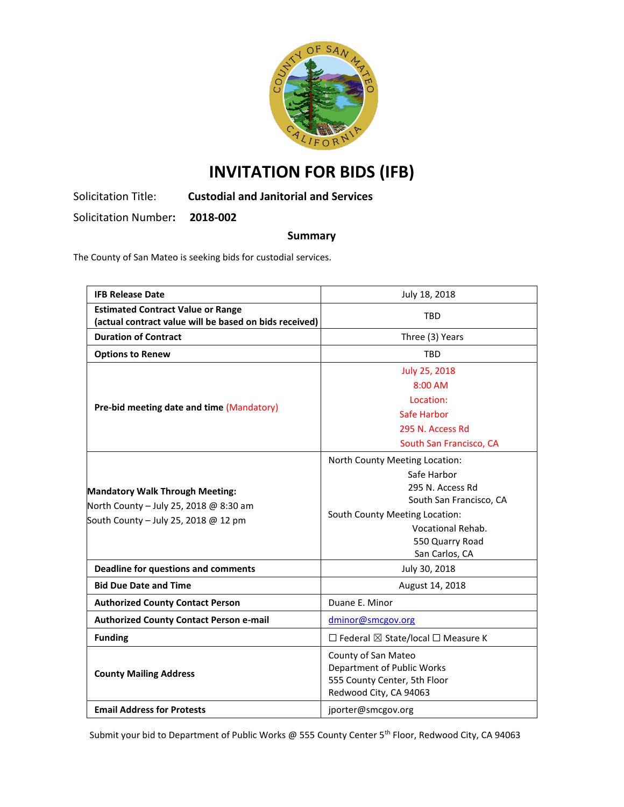

# **INVITATION FOR BIDS (IFB)**

Solicitation Title: **Custodial and Janitorial and Services** 

Solicitation Number**: 2018-002**

## **Summary**

The County of San Mateo is seeking bids for custodial services.

| <b>IFB Release Date</b>                                                                                                  | July 18, 2018                                                                                                                                                                            |  |
|--------------------------------------------------------------------------------------------------------------------------|------------------------------------------------------------------------------------------------------------------------------------------------------------------------------------------|--|
| <b>Estimated Contract Value or Range</b><br>(actual contract value will be based on bids received)                       | <b>TBD</b>                                                                                                                                                                               |  |
| <b>Duration of Contract</b>                                                                                              | Three (3) Years                                                                                                                                                                          |  |
| <b>Options to Renew</b>                                                                                                  | TBD                                                                                                                                                                                      |  |
| Pre-bid meeting date and time (Mandatory)                                                                                | July 25, 2018<br>$8:00$ AM<br>Location:<br>Safe Harbor<br>295 N. Access Rd<br>South San Francisco, CA                                                                                    |  |
| <b>Mandatory Walk Through Meeting:</b><br>North County - July 25, 2018 @ 8:30 am<br>South County - July 25, 2018 @ 12 pm | North County Meeting Location:<br>Safe Harbor<br>295 N. Access Rd<br>South San Francisco, CA<br>South County Meeting Location:<br>Vocational Rehab.<br>550 Quarry Road<br>San Carlos, CA |  |
| <b>Deadline for questions and comments</b>                                                                               | July 30, 2018                                                                                                                                                                            |  |
| <b>Bid Due Date and Time</b>                                                                                             | August 14, 2018                                                                                                                                                                          |  |
| <b>Authorized County Contact Person</b>                                                                                  | Duane E. Minor                                                                                                                                                                           |  |
| <b>Authorized County Contact Person e-mail</b>                                                                           | dminor@smcgov.org                                                                                                                                                                        |  |
| <b>Funding</b>                                                                                                           | $\Box$ Federal $\boxtimes$ State/local $\Box$ Measure K                                                                                                                                  |  |
| <b>County Mailing Address</b>                                                                                            | County of San Mateo<br>Department of Public Works<br>555 County Center, 5th Floor<br>Redwood City, CA 94063                                                                              |  |
| <b>Email Address for Protests</b>                                                                                        | jporter@smcgov.org                                                                                                                                                                       |  |

Submit your bid to Department of Public Works @ 555 County Center 5<sup>th</sup> Floor, Redwood City, CA 94063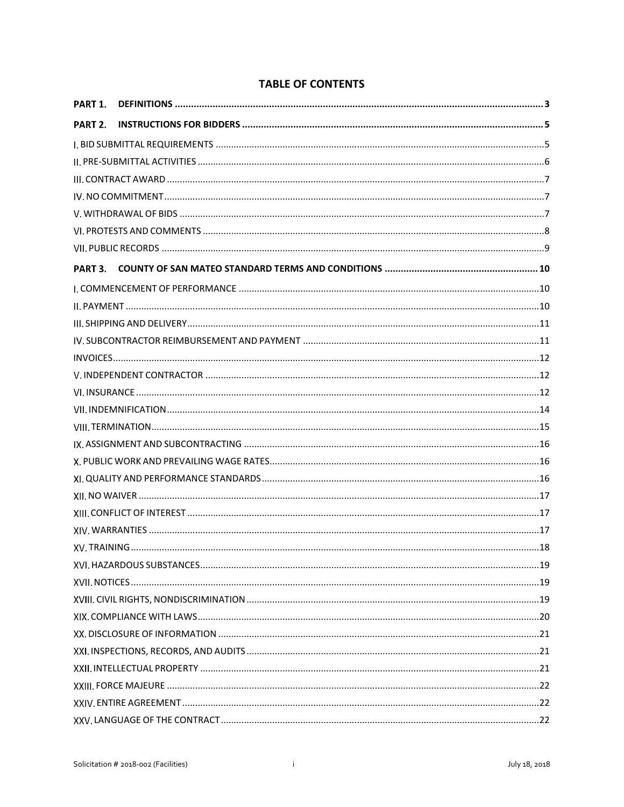| PART 1. |  |
|---------|--|
| PART 2. |  |
|         |  |
|         |  |
|         |  |
|         |  |
|         |  |
|         |  |
|         |  |
| PART 3. |  |
|         |  |
|         |  |
|         |  |
|         |  |
|         |  |
|         |  |
|         |  |
|         |  |
|         |  |
|         |  |
|         |  |
|         |  |
|         |  |
|         |  |
|         |  |
|         |  |
|         |  |
|         |  |
|         |  |
|         |  |
|         |  |
|         |  |
|         |  |
|         |  |
|         |  |
|         |  |

## **TABLE OF CONTENTS**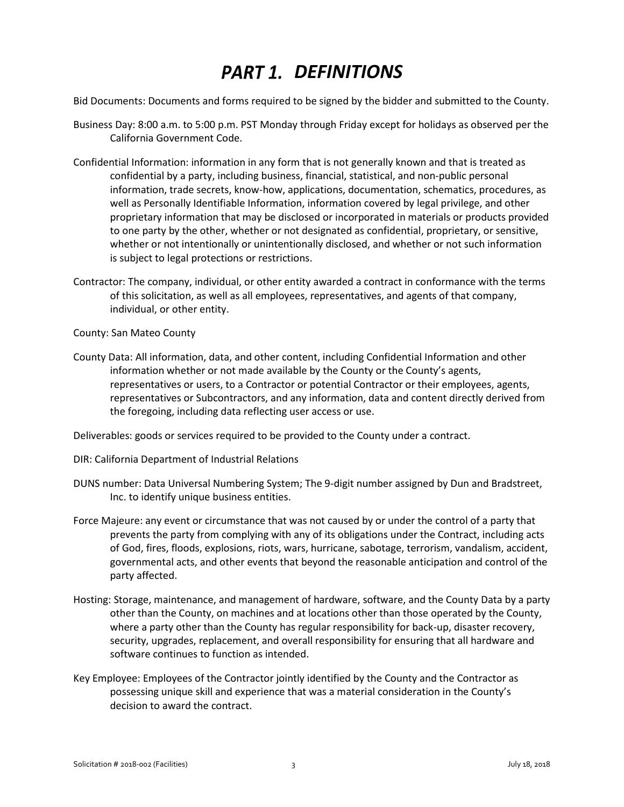# *DEFINITIONS*

<span id="page-3-0"></span>Bid Documents: Documents and forms required to be signed by the bidder and submitted to the County.

- Business Day: 8:00 a.m. to 5:00 p.m. PST Monday through Friday except for holidays as observed per the California Government Code.
- Confidential Information: information in any form that is not generally known and that is treated as confidential by a party, including business, financial, statistical, and non-public personal information, trade secrets, know-how, applications, documentation, schematics, procedures, as well as Personally Identifiable Information, information covered by legal privilege, and other proprietary information that may be disclosed or incorporated in materials or products provided to one party by the other, whether or not designated as confidential, proprietary, or sensitive, whether or not intentionally or unintentionally disclosed, and whether or not such information is subject to legal protections or restrictions.
- Contractor: The company, individual, or other entity awarded a contract in conformance with the terms of this solicitation, as well as all employees, representatives, and agents of that company, individual, or other entity.

County: San Mateo County

County Data: All information, data, and other content, including Confidential Information and other information whether or not made available by the County or the County's agents, representatives or users, to a Contractor or potential Contractor or their employees, agents, representatives or Subcontractors, and any information, data and content directly derived from the foregoing, including data reflecting user access or use.

Deliverables: goods or services required to be provided to the County under a contract.

- DIR: California Department of Industrial Relations
- DUNS number: Data Universal Numbering System; The 9-digit number assigned by Dun and Bradstreet, Inc. to identify unique business entities.
- Force Majeure: any event or circumstance that was not caused by or under the control of a party that prevents the party from complying with any of its obligations under the Contract, including acts of God, fires, floods, explosions, riots, wars, hurricane, sabotage, terrorism, vandalism, accident, governmental acts, and other events that beyond the reasonable anticipation and control of the party affected.
- Hosting: Storage, maintenance, and management of hardware, software, and the County Data by a party other than the County, on machines and at locations other than those operated by the County, where a party other than the County has regular responsibility for back-up, disaster recovery, security, upgrades, replacement, and overall responsibility for ensuring that all hardware and software continues to function as intended.
- Key Employee: Employees of the Contractor jointly identified by the County and the Contractor as possessing unique skill and experience that was a material consideration in the County's decision to award the contract.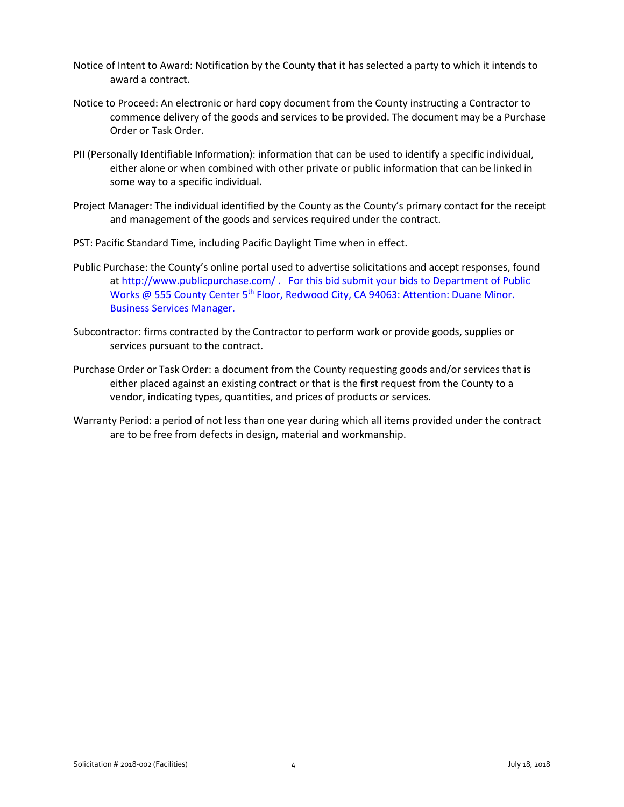- Notice of Intent to Award: Notification by the County that it has selected a party to which it intends to award a contract.
- Notice to Proceed: An electronic or hard copy document from the County instructing a Contractor to commence delivery of the goods and services to be provided. The document may be a Purchase Order or Task Order.
- PII (Personally Identifiable Information): information that can be used to identify a specific individual, either alone or when combined with other private or public information that can be linked in some way to a specific individual.
- Project Manager: The individual identified by the County as the County's primary contact for the receipt and management of the goods and services required under the contract.
- PST: Pacific Standard Time, including Pacific Daylight Time when in effect.
- Public Purchase: the County's online portal used to advertise solicitations and accept responses, found a[t http://www.publicpurchase.com/](http://www.publicpurchase.com/) . For this bid submit your bids to Department of Public Works @ 555 County Center 5<sup>th</sup> Floor, Redwood City, CA 94063: Attention: Duane Minor. Business Services Manager.
- Subcontractor: firms contracted by the Contractor to perform work or provide goods, supplies or services pursuant to the contract.
- Purchase Order or Task Order: a document from the County requesting goods and/or services that is either placed against an existing contract or that is the first request from the County to a vendor, indicating types, quantities, and prices of products or services.
- Warranty Period: a period of not less than one year during which all items provided under the contract are to be free from defects in design, material and workmanship.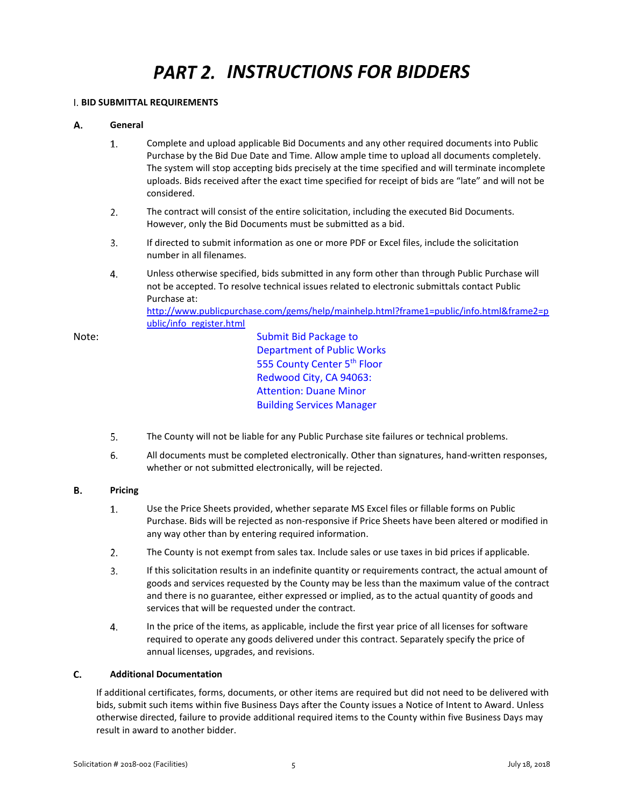# **PART 2. INSTRUCTIONS FOR BIDDERS**

### <span id="page-5-1"></span><span id="page-5-0"></span>**BID SUBMITTAL REQUIREMENTS**

[ublic/info\\_register.html](http://www.publicpurchase.com/gems/help/mainhelp.html?frame1=public/info.html&frame2=public/info_register.html)

#### А. **General**

- $1.$ Complete and upload applicable Bid Documents and any other required documents into Public Purchase by the Bid Due Date and Time. Allow ample time to upload all documents completely. The system will stop accepting bids precisely at the time specified and will terminate incomplete uploads. Bids received after the exact time specified for receipt of bids are "late" and will not be considered.
- $2.$ The contract will consist of the entire solicitation, including the executed Bid Documents. However, only the Bid Documents must be submitted as a bid.
- $3<sub>1</sub>$ If directed to submit information as one or more PDF or Excel files, include the solicitation number in all filenames.
- $4.$ Unless otherwise specified, bids submitted in any form other than through Public Purchase will not be accepted. To resolve technical issues related to electronic submittals contact Public Purchase at: [http://www.publicpurchase.com/gems/help/mainhelp.html?frame1=public/info.html&frame2=p](http://www.publicpurchase.com/gems/help/mainhelp.html?frame1=public/info.html&frame2=public/info_register.html)

Note: Submit Bid Package to Department of Public Works 555 County Center 5<sup>th</sup> Floor Redwood City, CA 94063: Attention: Duane Minor Building Services Manager

- $5.$ The County will not be liable for any Public Purchase site failures or technical problems.
- 6. All documents must be completed electronically. Other than signatures, hand-written responses, whether or not submitted electronically, will be rejected.

#### В. **Pricing**

- $1.$ Use the Price Sheets provided, whether separate MS Excel files or fillable forms on Public Purchase. Bids will be rejected as non-responsive if Price Sheets have been altered or modified in any way other than by entering required information.
- $2.$ The County is not exempt from sales tax. Include sales or use taxes in bid prices if applicable.
- $3.$ If this solicitation results in an indefinite quantity or requirements contract, the actual amount of goods and services requested by the County may be less than the maximum value of the contract and there is no guarantee, either expressed or implied, as to the actual quantity of goods and services that will be requested under the contract.
- 4. In the price of the items, as applicable, include the first year price of all licenses for software required to operate any goods delivered under this contract. Separately specify the price of annual licenses, upgrades, and revisions.

#### C. **Additional Documentation**

If additional certificates, forms, documents, or other items are required but did not need to be delivered with bids, submit such items within five Business Days after the County issues a Notice of Intent to Award. Unless otherwise directed, failure to provide additional required items to the County within five Business Days may result in award to another bidder.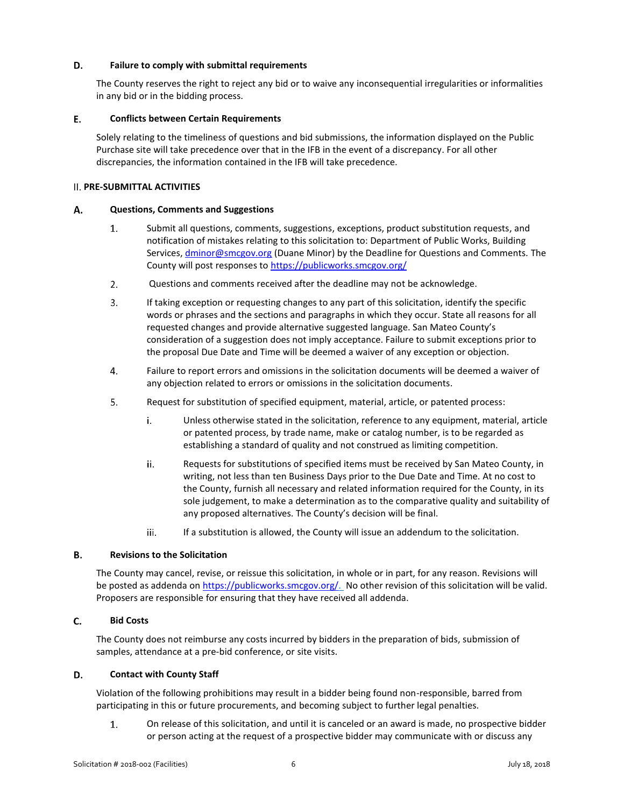#### D. **Failure to comply with submittal requirements**

The County reserves the right to reject any bid or to waive any inconsequential irregularities or informalities in any bid or in the bidding process.

#### Ε. **Conflicts between Certain Requirements**

Solely relating to the timeliness of questions and bid submissions, the information displayed on the Public Purchase site will take precedence over that in the IFB in the event of a discrepancy. For all other discrepancies, the information contained in the IFB will take precedence.

### <span id="page-6-0"></span>**PRE-SUBMITTAL ACTIVITIES**

#### А. **Questions, Comments and Suggestions**

- 1. Submit all questions, comments, suggestions, exceptions, product substitution requests, and notification of mistakes relating to this solicitation to: Department of Public Works, Building Services, *dminor@smcgov.org* (Duane Minor) by the Deadline for Questions and Comments. The County will post responses t[o https://publicworks.smcgov.org/](https://publicworks.smcgov.org/)
- $2.$ Questions and comments received after the deadline may not be acknowledge.
- 3. If taking exception or requesting changes to any part of this solicitation, identify the specific words or phrases and the sections and paragraphs in which they occur. State all reasons for all requested changes and provide alternative suggested language. San Mateo County's consideration of a suggestion does not imply acceptance. Failure to submit exceptions prior to the proposal Due Date and Time will be deemed a waiver of any exception or objection.
- $4.$ Failure to report errors and omissions in the solicitation documents will be deemed a waiver of any objection related to errors or omissions in the solicitation documents.
- 5. Request for substitution of specified equipment, material, article, or patented process:
	- Unless otherwise stated in the solicitation, reference to any equipment, material, article i. or patented process, by trade name, make or catalog number, is to be regarded as establishing a standard of quality and not construed as limiting competition.
	- ii. Requests for substitutions of specified items must be received by San Mateo County, in writing, not less than ten Business Days prior to the Due Date and Time. At no cost to the County, furnish all necessary and related information required for the County, in its sole judgement, to make a determination as to the comparative quality and suitability of any proposed alternatives. The County's decision will be final.
	- iii. If a substitution is allowed, the County will issue an addendum to the solicitation.

#### В. **Revisions to the Solicitation**

The County may cancel, revise, or reissue this solicitation, in whole or in part, for any reason. Revisions will be posted as addenda on [https://publicworks.smcgov.org/.](https://publicworks.smcgov.org/) No other revision of this solicitation will be valid. Proposers are responsible for ensuring that they have received all addenda.

#### $C.$ **Bid Costs**

The County does not reimburse any costs incurred by bidders in the preparation of bids, submission of samples, attendance at a pre-bid conference, or site visits.

#### D. **Contact with County Staff**

Violation of the following prohibitions may result in a bidder being found non-responsible, barred from participating in this or future procurements, and becoming subject to further legal penalties.

1. On release of this solicitation, and until it is canceled or an award is made, no prospective bidder or person acting at the request of a prospective bidder may communicate with or discuss any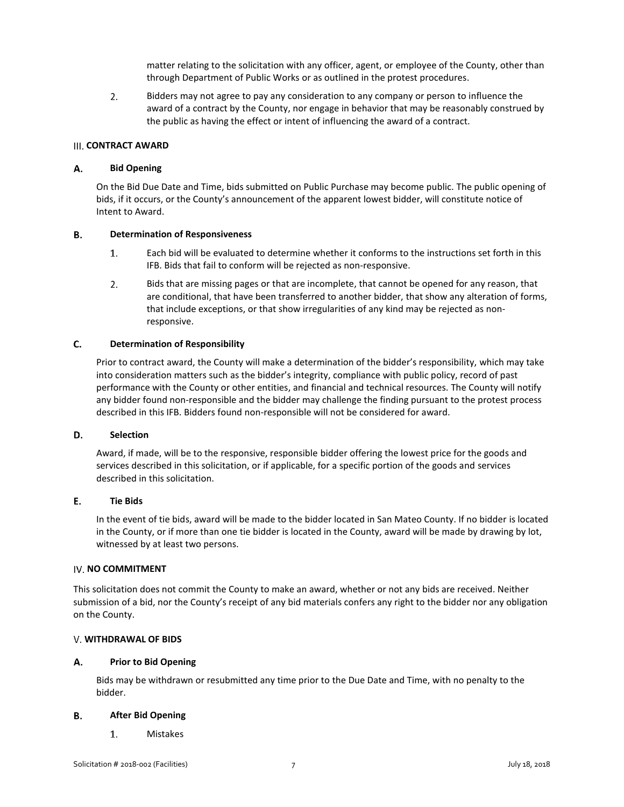matter relating to the solicitation with any officer, agent, or employee of the County, other than through Department of Public Works or as outlined in the protest procedures.

 $2.$ Bidders may not agree to pay any consideration to any company or person to influence the award of a contract by the County, nor engage in behavior that may be reasonably construed by the public as having the effect or intent of influencing the award of a contract.

### <span id="page-7-0"></span>**III. CONTRACT AWARD**

#### А. **Bid Opening**

On the Bid Due Date and Time, bids submitted on Public Purchase may become public. The public opening of bids, if it occurs, or the County's announcement of the apparent lowest bidder, will constitute notice of Intent to Award.

#### В. **Determination of Responsiveness**

- $1.$ Each bid will be evaluated to determine whether it conforms to the instructions set forth in this IFB. Bids that fail to conform will be rejected as non-responsive.
- $2.$ Bids that are missing pages or that are incomplete, that cannot be opened for any reason, that are conditional, that have been transferred to another bidder, that show any alteration of forms, that include exceptions, or that show irregularities of any kind may be rejected as nonresponsive.

#### $C_{\cdot}$ **Determination of Responsibility**

Prior to contract award, the County will make a determination of the bidder's responsibility, which may take into consideration matters such as the bidder's integrity, compliance with public policy, record of past performance with the County or other entities, and financial and technical resources. The County will notify any bidder found non-responsible and the bidder may challenge the finding pursuant to the protest process described in this IFB. Bidders found non-responsible will not be considered for award.

#### D. **Selection**

Award, if made, will be to the responsive, responsible bidder offering the lowest price for the goods and services described in this solicitation, or if applicable, for a specific portion of the goods and services described in this solicitation.

#### E. **Tie Bids**

In the event of tie bids, award will be made to the bidder located in San Mateo County. If no bidder is located in the County, or if more than one tie bidder is located in the County, award will be made by drawing by lot, witnessed by at least two persons.

### <span id="page-7-1"></span>**IV. NO COMMITMENT**

This solicitation does not commit the County to make an award, whether or not any bids are received. Neither submission of a bid, nor the County's receipt of any bid materials confers any right to the bidder nor any obligation on the County.

### <span id="page-7-2"></span>**WITHDRAWAL OF BIDS**

#### А. **Prior to Bid Opening**

Bids may be withdrawn or resubmitted any time prior to the Due Date and Time, with no penalty to the bidder.

#### **After Bid Opening** В.

1. Mistakes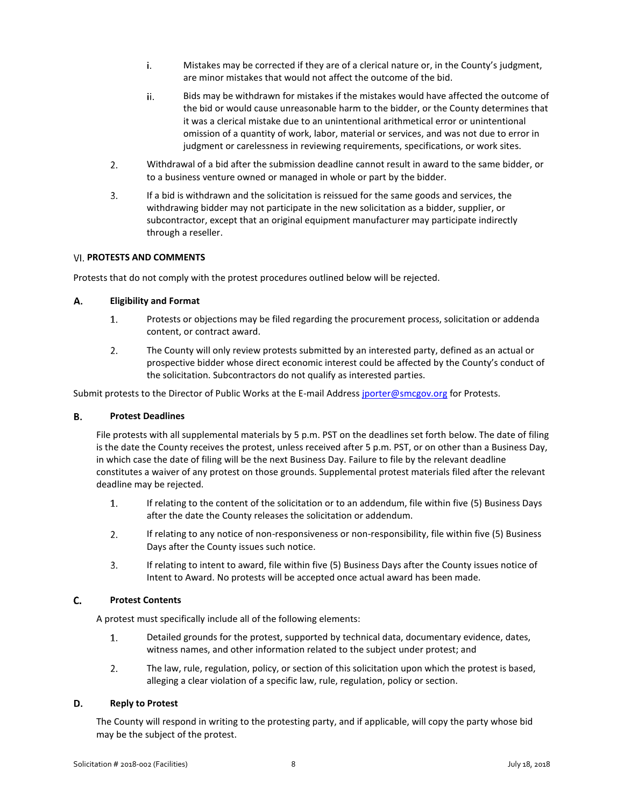- i. Mistakes may be corrected if they are of a clerical nature or, in the County's judgment, are minor mistakes that would not affect the outcome of the bid.
- ii. Bids may be withdrawn for mistakes if the mistakes would have affected the outcome of the bid or would cause unreasonable harm to the bidder, or the County determines that it was a clerical mistake due to an unintentional arithmetical error or unintentional omission of a quantity of work, labor, material or services, and was not due to error in judgment or carelessness in reviewing requirements, specifications, or work sites.
- $2.$ Withdrawal of a bid after the submission deadline cannot result in award to the same bidder, or to a business venture owned or managed in whole or part by the bidder.
- $3.$ If a bid is withdrawn and the solicitation is reissued for the same goods and services, the withdrawing bidder may not participate in the new solicitation as a bidder, supplier, or subcontractor, except that an original equipment manufacturer may participate indirectly through a reseller.

### <span id="page-8-0"></span>**PROTESTS AND COMMENTS**

Protests that do not comply with the protest procedures outlined below will be rejected.

#### А. **Eligibility and Format**

- $1.$ Protests or objections may be filed regarding the procurement process, solicitation or addenda content, or contract award.
- $\overline{2}$ . The County will only review protests submitted by an interested party, defined as an actual or prospective bidder whose direct economic interest could be affected by the County's conduct of the solicitation. Subcontractors do not qualify as interested parties.

Submit protests to the Director of Public Works at the E-mail Addres[s jporter@smcgov.org](mailto:jporter@smcgov.org) for Protests.

#### **Protest Deadlines** В.

File protests with all supplemental materials by 5 p.m. PST on the deadlines set forth below. The date of filing is the date the County receives the protest, unless received after 5 p.m. PST, or on other than a Business Day, in which case the date of filing will be the next Business Day. Failure to file by the relevant deadline constitutes a waiver of any protest on those grounds. Supplemental protest materials filed after the relevant deadline may be rejected.

- $1.$ If relating to the content of the solicitation or to an addendum, file within five (5) Business Days after the date the County releases the solicitation or addendum.
- $2.$ If relating to any notice of non-responsiveness or non-responsibility, file within five (5) Business Days after the County issues such notice.
- $3.$ If relating to intent to award, file within five (5) Business Days after the County issues notice of Intent to Award. No protests will be accepted once actual award has been made.

#### C. **Protest Contents**

A protest must specifically include all of the following elements:

- $1.$ Detailed grounds for the protest, supported by technical data, documentary evidence, dates, witness names, and other information related to the subject under protest; and
- $2.$ The law, rule, regulation, policy, or section of this solicitation upon which the protest is based, alleging a clear violation of a specific law, rule, regulation, policy or section.

#### D. **Reply to Protest**

The County will respond in writing to the protesting party, and if applicable, will copy the party whose bid may be the subject of the protest.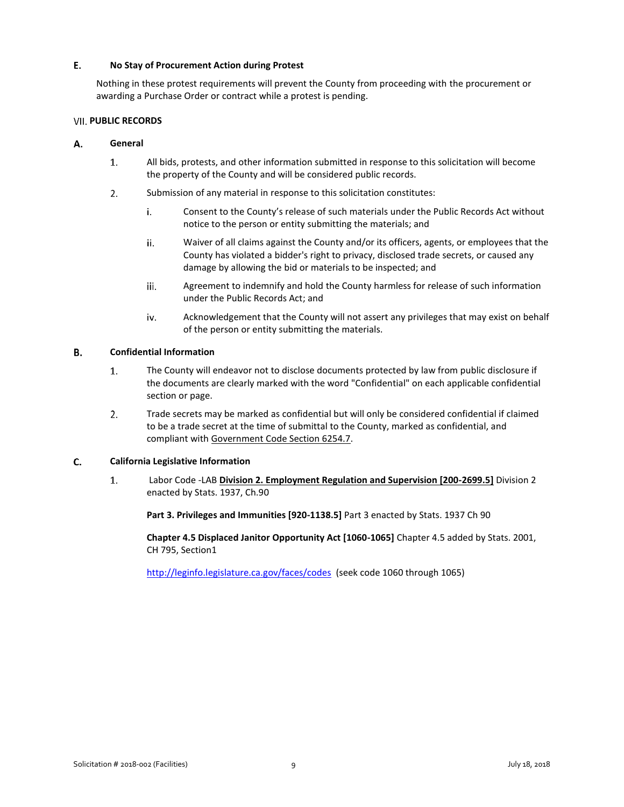#### E. **No Stay of Procurement Action during Protest**

Nothing in these protest requirements will prevent the County from proceeding with the procurement or awarding a Purchase Order or contract while a protest is pending.

### <span id="page-9-0"></span>**VII. PUBLIC RECORDS**

#### А. **General**

- $\overline{1}$ . All bids, protests, and other information submitted in response to this solicitation will become the property of the County and will be considered public records.
- $2.$ Submission of any material in response to this solicitation constitutes:
	- Consent to the County's release of such materials under the Public Records Act without i. notice to the person or entity submitting the materials; and
	- ii. Waiver of all claims against the County and/or its officers, agents, or employees that the County has violated a bidder's right to privacy, disclosed trade secrets, or caused any damage by allowing the bid or materials to be inspected; and
	- iii. Agreement to indemnify and hold the County harmless for release of such information under the Public Records Act; and
	- iv. Acknowledgement that the County will not assert any privileges that may exist on behalf of the person or entity submitting the materials.

#### В. **Confidential Information**

- $1.$ The County will endeavor not to disclose documents protected by law from public disclosure if the documents are clearly marked with the word "Confidential" on each applicable confidential section or page.
- $2.$ Trade secrets may be marked as confidential but will only be considered confidential if claimed to be a trade secret at the time of submittal to the County, marked as confidential, and compliant with Government Code Section 6254.7.

#### C. **California Legislative Information**

 $1.$ Labor Code -LAB **Division 2. Employment Regulation and Supervision [200-2699.5]** Division 2 enacted by Stats. 1937, Ch.90

**Part 3. Privileges and Immunities [920-1138.5]** Part 3 enacted by Stats. 1937 Ch 90

**Chapter 4.5 Displaced Janitor Opportunity Act [1060-1065]** Chapter 4.5 added by Stats. 2001, CH 795, Section1

<http://leginfo.legislature.ca.gov/faces/codes>(seek code 1060 through 1065)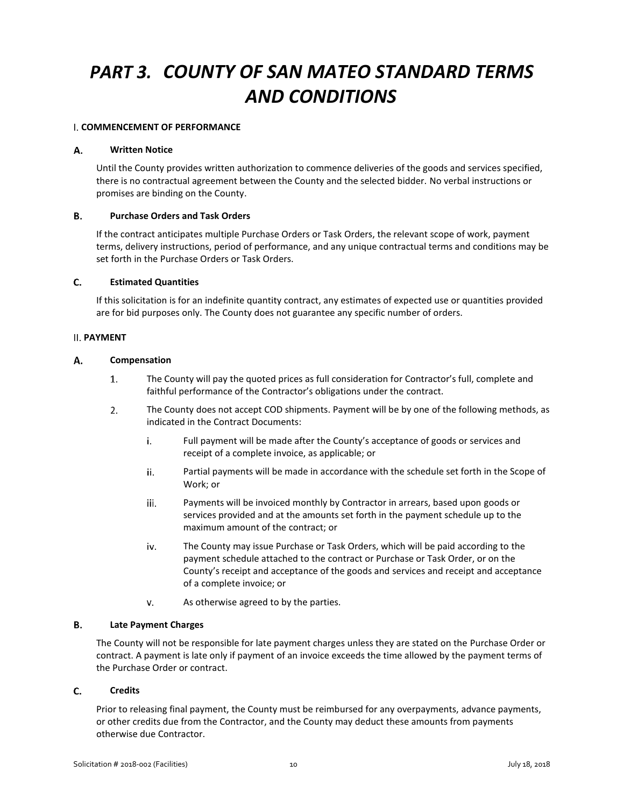# <span id="page-10-0"></span>*COUNTY OF SAN MATEO STANDARD TERMS AND CONDITIONS*

### <span id="page-10-1"></span>**COMMENCEMENT OF PERFORMANCE**

#### А. **Written Notice**

Until the County provides written authorization to commence deliveries of the goods and services specified, there is no contractual agreement between the County and the selected bidder. No verbal instructions or promises are binding on the County.

#### **B. Purchase Orders and Task Orders**

If the contract anticipates multiple Purchase Orders or Task Orders, the relevant scope of work, payment terms, delivery instructions, period of performance, and any unique contractual terms and conditions may be set forth in the Purchase Orders or Task Orders.

#### C. **Estimated Quantities**

If this solicitation is for an indefinite quantity contract, any estimates of expected use or quantities provided are for bid purposes only. The County does not guarantee any specific number of orders.

### <span id="page-10-2"></span>**PAYMENT**

#### А. **Compensation**

- 1. The County will pay the quoted prices as full consideration for Contractor's full, complete and faithful performance of the Contractor's obligations under the contract.
- $2.$ The County does not accept COD shipments. Payment will be by one of the following methods, as indicated in the Contract Documents:
	- i. Full payment will be made after the County's acceptance of goods or services and receipt of a complete invoice, as applicable; or
	- ii. Partial payments will be made in accordance with the schedule set forth in the Scope of Work; or
	- iii. Payments will be invoiced monthly by Contractor in arrears, based upon goods or services provided and at the amounts set forth in the payment schedule up to the maximum amount of the contract; or
	- iv. The County may issue Purchase or Task Orders, which will be paid according to the payment schedule attached to the contract or Purchase or Task Order, or on the County's receipt and acceptance of the goods and services and receipt and acceptance of a complete invoice; or
	- v. As otherwise agreed to by the parties.

#### **B. Late Payment Charges**

The County will not be responsible for late payment charges unless they are stated on the Purchase Order or contract. A payment is late only if payment of an invoice exceeds the time allowed by the payment terms of the Purchase Order or contract.

#### C. **Credits**

Prior to releasing final payment, the County must be reimbursed for any overpayments, advance payments, or other credits due from the Contractor, and the County may deduct these amounts from payments otherwise due Contractor.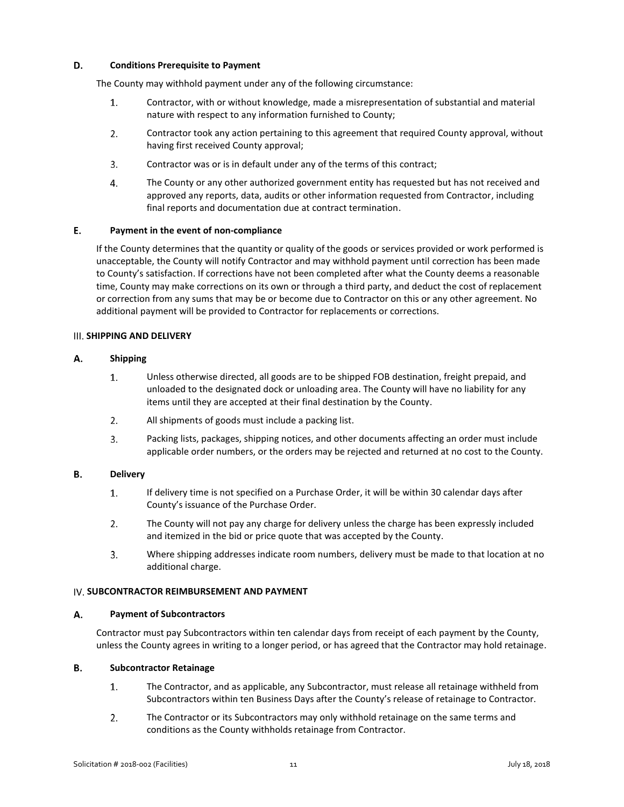#### D. **Conditions Prerequisite to Payment**

The County may withhold payment under any of the following circumstance:

- Contractor, with or without knowledge, made a misrepresentation of substantial and material 1. nature with respect to any information furnished to County;
- $2.$ Contractor took any action pertaining to this agreement that required County approval, without having first received County approval;
- 3. Contractor was or is in default under any of the terms of this contract;
- $4.$ The County or any other authorized government entity has requested but has not received and approved any reports, data, audits or other information requested from Contractor, including final reports and documentation due at contract termination.

#### E. **Payment in the event of non-compliance**

If the County determines that the quantity or quality of the goods or services provided or work performed is unacceptable, the County will notify Contractor and may withhold payment until correction has been made to County's satisfaction. If corrections have not been completed after what the County deems a reasonable time, County may make corrections on its own or through a third party, and deduct the cost of replacement or correction from any sums that may be or become due to Contractor on this or any other agreement. No additional payment will be provided to Contractor for replacements or corrections.

### <span id="page-11-0"></span>**III. SHIPPING AND DELIVERY**

#### А. **Shipping**

- $1.$ Unless otherwise directed, all goods are to be shipped FOB destination, freight prepaid, and unloaded to the designated dock or unloading area. The County will have no liability for any items until they are accepted at their final destination by the County.
- $2.$ All shipments of goods must include a packing list.
- $3.$ Packing lists, packages, shipping notices, and other documents affecting an order must include applicable order numbers, or the orders may be rejected and returned at no cost to the County.

#### **B. Delivery**

- $1.$ If delivery time is not specified on a Purchase Order, it will be within 30 calendar days after County's issuance of the Purchase Order.
- $2.$ The County will not pay any charge for delivery unless the charge has been expressly included and itemized in the bid or price quote that was accepted by the County.
- $3.$ Where shipping addresses indicate room numbers, delivery must be made to that location at no additional charge.

### <span id="page-11-1"></span>**IV. SUBCONTRACTOR REIMBURSEMENT AND PAYMENT**

#### Α. **Payment of Subcontractors**

Contractor must pay Subcontractors within ten calendar days from receipt of each payment by the County, unless the County agrees in writing to a longer period, or has agreed that the Contractor may hold retainage.

#### **B. Subcontractor Retainage**

- $1.$ The Contractor, and as applicable, any Subcontractor, must release all retainage withheld from Subcontractors within ten Business Days after the County's release of retainage to Contractor.
- $2.$ The Contractor or its Subcontractors may only withhold retainage on the same terms and conditions as the County withholds retainage from Contractor.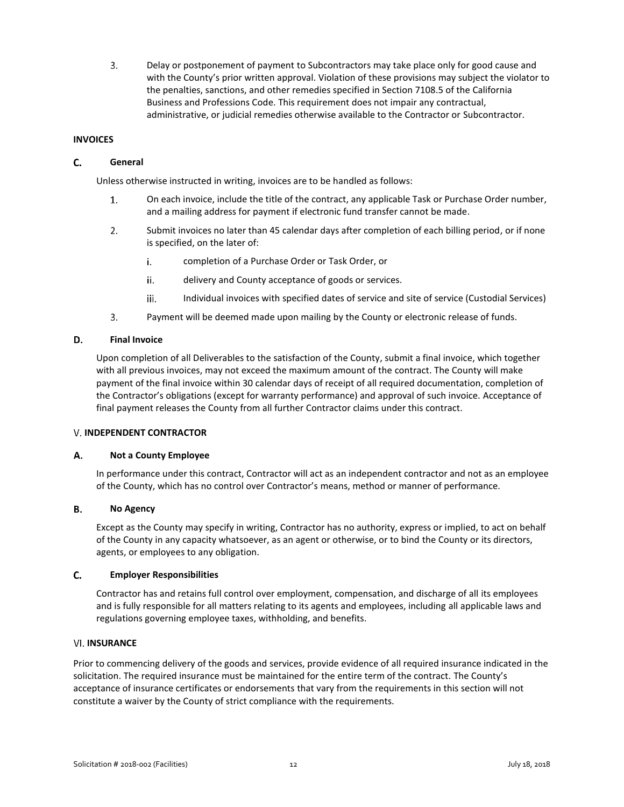$3<sub>1</sub>$ Delay or postponement of payment to Subcontractors may take place only for good cause and with the County's prior written approval. Violation of these provisions may subject the violator to the penalties, sanctions, and other remedies specified in Section 7108.5 of the California Business and Professions Code. This requirement does not impair any contractual, administrative, or judicial remedies otherwise available to the Contractor or Subcontractor.

### <span id="page-12-0"></span>**INVOICES**

#### C. **General**

Unless otherwise instructed in writing, invoices are to be handled as follows:

- On each invoice, include the title of the contract, any applicable Task or Purchase Order number,  $1.$ and a mailing address for payment if electronic fund transfer cannot be made.
- $2.$ Submit invoices no later than 45 calendar days after completion of each billing period, or if none is specified, on the later of:
	- completion of a Purchase Order or Task Order, or i.
	- ii. delivery and County acceptance of goods or services.
	- iii. Individual invoices with specified dates of service and site of service (Custodial Services)
- $3.$ Payment will be deemed made upon mailing by the County or electronic release of funds.

#### D. **Final Invoice**

Upon completion of all Deliverables to the satisfaction of the County, submit a final invoice, which together with all previous invoices, may not exceed the maximum amount of the contract. The County will make payment of the final invoice within 30 calendar days of receipt of all required documentation, completion of the Contractor's obligations (except for warranty performance) and approval of such invoice. Acceptance of final payment releases the County from all further Contractor claims under this contract.

### <span id="page-12-1"></span>**V. INDEPENDENT CONTRACTOR**

#### Α. **Not a County Employee**

In performance under this contract, Contractor will act as an independent contractor and not as an employee of the County, which has no control over Contractor's means, method or manner of performance.

#### В. **No Agency**

Except as the County may specify in writing, Contractor has no authority, express or implied, to act on behalf of the County in any capacity whatsoever, as an agent or otherwise, or to bind the County or its directors, agents, or employees to any obligation.

#### $C.$ **Employer Responsibilities**

Contractor has and retains full control over employment, compensation, and discharge of all its employees and is fully responsible for all matters relating to its agents and employees, including all applicable laws and regulations governing employee taxes, withholding, and benefits.

### <span id="page-12-2"></span>**VI. INSURANCE**

Prior to commencing delivery of the goods and services, provide evidence of all required insurance indicated in the solicitation. The required insurance must be maintained for the entire term of the contract. The County's acceptance of insurance certificates or endorsements that vary from the requirements in this section will not constitute a waiver by the County of strict compliance with the requirements.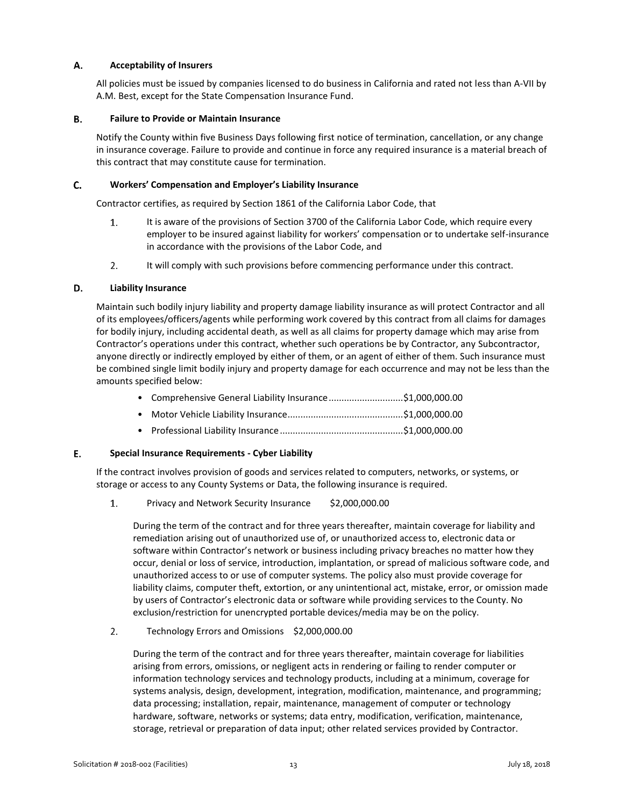#### Α. **Acceptability of Insurers**

All policies must be issued by companies licensed to do business in California and rated not less than A-VII by A.M. Best, except for the State Compensation Insurance Fund.

#### В. **Failure to Provide or Maintain Insurance**

Notify the County within five Business Days following first notice of termination, cancellation, or any change in insurance coverage. Failure to provide and continue in force any required insurance is a material breach of this contract that may constitute cause for termination.

#### C. **Workers' Compensation and Employer's Liability Insurance**

Contractor certifies, as required by Section 1861 of the California Labor Code, that

- 1. It is aware of the provisions of Section 3700 of the California Labor Code, which require every employer to be insured against liability for workers' compensation or to undertake self-insurance in accordance with the provisions of the Labor Code, and
- $2.$ It will comply with such provisions before commencing performance under this contract.

#### D. **Liability Insurance**

Maintain such bodily injury liability and property damage liability insurance as will protect Contractor and all of its employees/officers/agents while performing work covered by this contract from all claims for damages for bodily injury, including accidental death, as well as all claims for property damage which may arise from Contractor's operations under this contract, whether such operations be by Contractor, any Subcontractor, anyone directly or indirectly employed by either of them, or an agent of either of them. Such insurance must be combined single limit bodily injury and property damage for each occurrence and may not be less than the amounts specified below:

| • Comprehensive General Liability Insurance\$1,000,000.00 |  |
|-----------------------------------------------------------|--|
|                                                           |  |
|                                                           |  |

#### E. **Special Insurance Requirements - Cyber Liability**

If the contract involves provision of goods and services related to computers, networks, or systems, or storage or access to any County Systems or Data, the following insurance is required.

 $1.$ Privacy and Network Security Insurance \$2,000,000.00

During the term of the contract and for three years thereafter, maintain coverage for liability and remediation arising out of unauthorized use of, or unauthorized access to, electronic data or software within Contractor's network or business including privacy breaches no matter how they occur, denial or loss of service, introduction, implantation, or spread of malicious software code, and unauthorized access to or use of computer systems. The policy also must provide coverage for liability claims, computer theft, extortion, or any unintentional act, mistake, error, or omission made by users of Contractor's electronic data or software while providing services to the County. No exclusion/restriction for unencrypted portable devices/media may be on the policy.

 $2.$ Technology Errors and Omissions \$2,000,000.00

During the term of the contract and for three years thereafter, maintain coverage for liabilities arising from errors, omissions, or negligent acts in rendering or failing to render computer or information technology services and technology products, including at a minimum, coverage for systems analysis, design, development, integration, modification, maintenance, and programming; data processing; installation, repair, maintenance, management of computer or technology hardware, software, networks or systems; data entry, modification, verification, maintenance, storage, retrieval or preparation of data input; other related services provided by Contractor.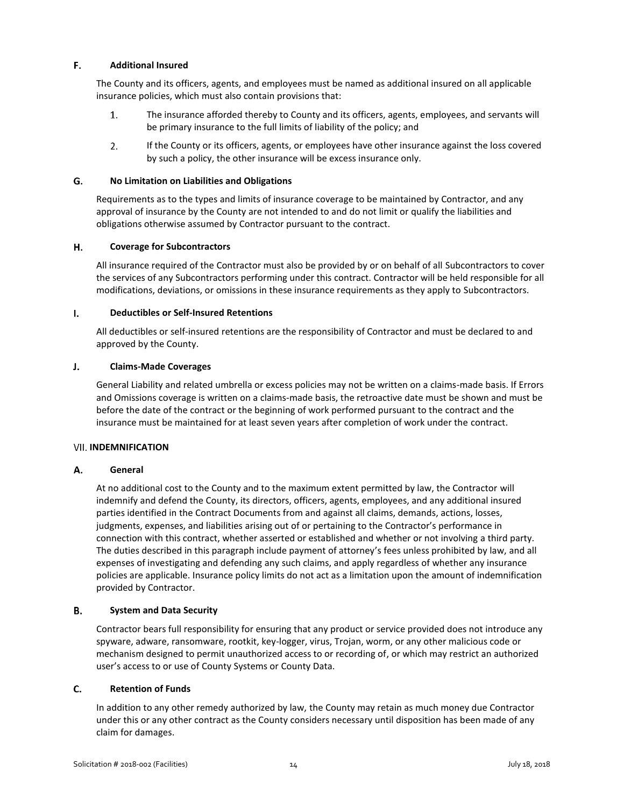#### E. **Additional Insured**

The County and its officers, agents, and employees must be named as additional insured on all applicable insurance policies, which must also contain provisions that:

- 1. The insurance afforded thereby to County and its officers, agents, employees, and servants will be primary insurance to the full limits of liability of the policy; and
- $2.$ If the County or its officers, agents, or employees have other insurance against the loss covered by such a policy, the other insurance will be excess insurance only.

#### G. **No Limitation on Liabilities and Obligations**

Requirements as to the types and limits of insurance coverage to be maintained by Contractor, and any approval of insurance by the County are not intended to and do not limit or qualify the liabilities and obligations otherwise assumed by Contractor pursuant to the contract.

#### Η. **Coverage for Subcontractors**

All insurance required of the Contractor must also be provided by or on behalf of all Subcontractors to cover the services of any Subcontractors performing under this contract. Contractor will be held responsible for all modifications, deviations, or omissions in these insurance requirements as they apply to Subcontractors.

#### $\mathbf{I}$ . **Deductibles or Self-Insured Retentions**

All deductibles or self-insured retentions are the responsibility of Contractor and must be declared to and approved by the County.

#### $J_{\star}$ **Claims-Made Coverages**

General Liability and related umbrella or excess policies may not be written on a claims-made basis. If Errors and Omissions coverage is written on a claims-made basis, the retroactive date must be shown and must be before the date of the contract or the beginning of work performed pursuant to the contract and the insurance must be maintained for at least seven years after completion of work under the contract.

### <span id="page-14-0"></span>**VII. INDEMNIFICATION**

#### Α. **General**

At no additional cost to the County and to the maximum extent permitted by law, the Contractor will indemnify and defend the County, its directors, officers, agents, employees, and any additional insured parties identified in the Contract Documents from and against all claims, demands, actions, losses, judgments, expenses, and liabilities arising out of or pertaining to the Contractor's performance in connection with this contract, whether asserted or established and whether or not involving a third party. The duties described in this paragraph include payment of attorney's fees unless prohibited by law, and all expenses of investigating and defending any such claims, and apply regardless of whether any insurance policies are applicable. Insurance policy limits do not act as a limitation upon the amount of indemnification provided by Contractor.

#### В. **System and Data Security**

Contractor bears full responsibility for ensuring that any product or service provided does not introduce any spyware, adware, ransomware, rootkit, key-logger, virus, Trojan, worm, or any other malicious code or mechanism designed to permit unauthorized access to or recording of, or which may restrict an authorized user's access to or use of County Systems or County Data.

#### C. **Retention of Funds**

In addition to any other remedy authorized by law, the County may retain as much money due Contractor under this or any other contract as the County considers necessary until disposition has been made of any claim for damages.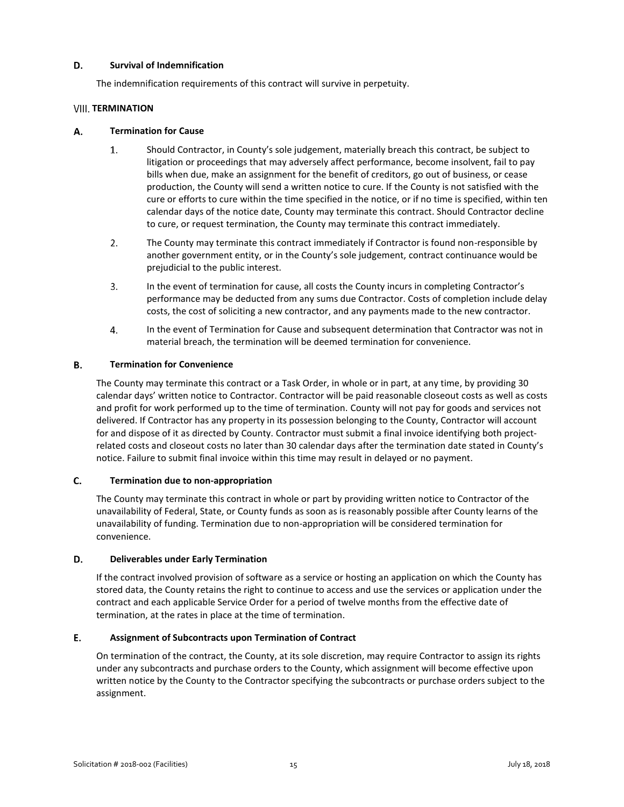#### D. **Survival of Indemnification**

The indemnification requirements of this contract will survive in perpetuity.

### <span id="page-15-0"></span>**VIII. TERMINATION**

#### А. **Termination for Cause**

- $1.$ Should Contractor, in County's sole judgement, materially breach this contract, be subject to litigation or proceedings that may adversely affect performance, become insolvent, fail to pay bills when due, make an assignment for the benefit of creditors, go out of business, or cease production, the County will send a written notice to cure. If the County is not satisfied with the cure or efforts to cure within the time specified in the notice, or if no time is specified, within ten calendar days of the notice date, County may terminate this contract. Should Contractor decline to cure, or request termination, the County may terminate this contract immediately.
- $2.$ The County may terminate this contract immediately if Contractor is found non-responsible by another government entity, or in the County's sole judgement, contract continuance would be prejudicial to the public interest.
- 3. In the event of termination for cause, all costs the County incurs in completing Contractor's performance may be deducted from any sums due Contractor. Costs of completion include delay costs, the cost of soliciting a new contractor, and any payments made to the new contractor.
- 4. In the event of Termination for Cause and subsequent determination that Contractor was not in material breach, the termination will be deemed termination for convenience.

#### В. **Termination for Convenience**

The County may terminate this contract or a Task Order, in whole or in part, at any time, by providing 30 calendar days' written notice to Contractor. Contractor will be paid reasonable closeout costs as well as costs and profit for work performed up to the time of termination. County will not pay for goods and services not delivered. If Contractor has any property in its possession belonging to the County, Contractor will account for and dispose of it as directed by County. Contractor must submit a final invoice identifying both projectrelated costs and closeout costs no later than 30 calendar days after the termination date stated in County's notice. Failure to submit final invoice within this time may result in delayed or no payment.

#### C. **Termination due to non-appropriation**

The County may terminate this contract in whole or part by providing written notice to Contractor of the unavailability of Federal, State, or County funds as soon as is reasonably possible after County learns of the unavailability of funding. Termination due to non-appropriation will be considered termination for convenience.

#### D. **Deliverables under Early Termination**

If the contract involved provision of software as a service or hosting an application on which the County has stored data, the County retains the right to continue to access and use the services or application under the contract and each applicable Service Order for a period of twelve months from the effective date of termination, at the rates in place at the time of termination.

#### E. **Assignment of Subcontracts upon Termination of Contract**

On termination of the contract, the County, at its sole discretion, may require Contractor to assign its rights under any subcontracts and purchase orders to the County, which assignment will become effective upon written notice by the County to the Contractor specifying the subcontracts or purchase orders subject to the assignment.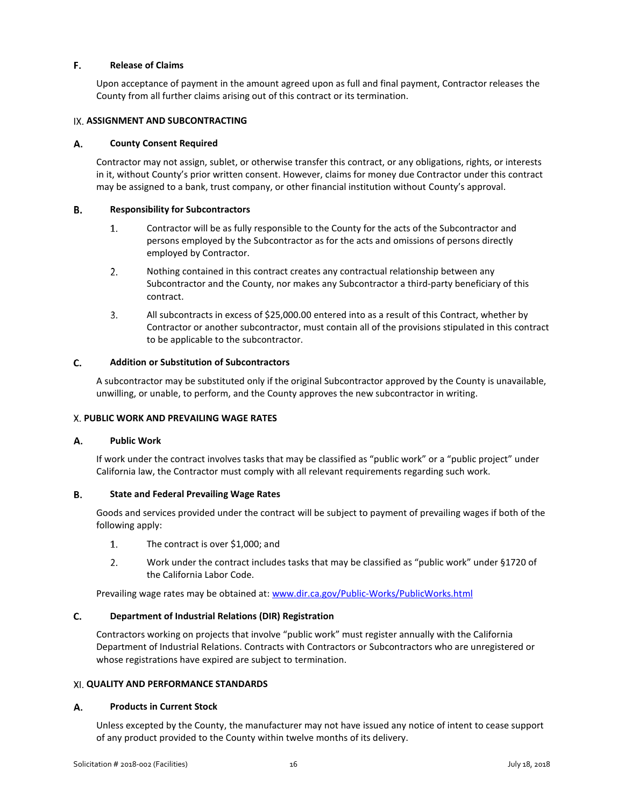#### E. **Release of Claims**

Upon acceptance of payment in the amount agreed upon as full and final payment, Contractor releases the County from all further claims arising out of this contract or its termination.

### <span id="page-16-0"></span>**IX. ASSIGNMENT AND SUBCONTRACTING**

#### Α. **County Consent Required**

Contractor may not assign, sublet, or otherwise transfer this contract, or any obligations, rights, or interests in it, without County's prior written consent. However, claims for money due Contractor under this contract may be assigned to a bank, trust company, or other financial institution without County's approval.

#### **B. Responsibility for Subcontractors**

- 1. Contractor will be as fully responsible to the County for the acts of the Subcontractor and persons employed by the Subcontractor as for the acts and omissions of persons directly employed by Contractor.
- $2<sup>1</sup>$ Nothing contained in this contract creates any contractual relationship between any Subcontractor and the County, nor makes any Subcontractor a third-party beneficiary of this contract.
- 3. All subcontracts in excess of \$25,000.00 entered into as a result of this Contract, whether by Contractor or another subcontractor, must contain all of the provisions stipulated in this contract to be applicable to the subcontractor.

#### C. **Addition or Substitution of Subcontractors**

A subcontractor may be substituted only if the original Subcontractor approved by the County is unavailable, unwilling, or unable, to perform, and the County approves the new subcontractor in writing.

### <span id="page-16-1"></span>**PUBLIC WORK AND PREVAILING WAGE RATES**

#### **Public Work** А.

If work under the contract involves tasks that may be classified as "public work" or a "public project" under California law, the Contractor must comply with all relevant requirements regarding such work.

#### В. **State and Federal Prevailing Wage Rates**

Goods and services provided under the contract will be subject to payment of prevailing wages if both of the following apply:

- $1.$ The contract is over \$1,000; and
- $2.$ Work under the contract includes tasks that may be classified as "public work" under §1720 of the California Labor Code.

Prevailing wage rates may be obtained at: [www.dir.ca.gov/Public-Works/PublicWorks.html](http://www.dir.ca.gov/Public-Works/PublicWorks.html)

#### C. **Department of Industrial Relations (DIR) Registration**

Contractors working on projects that involve "public work" must register annually with the California Department of Industrial Relations. Contracts with Contractors or Subcontractors who are unregistered or whose registrations have expired are subject to termination.

### <span id="page-16-2"></span>**QUALITY AND PERFORMANCE STANDARDS**

#### А. **Products in Current Stock**

Unless excepted by the County, the manufacturer may not have issued any notice of intent to cease support of any product provided to the County within twelve months of its delivery.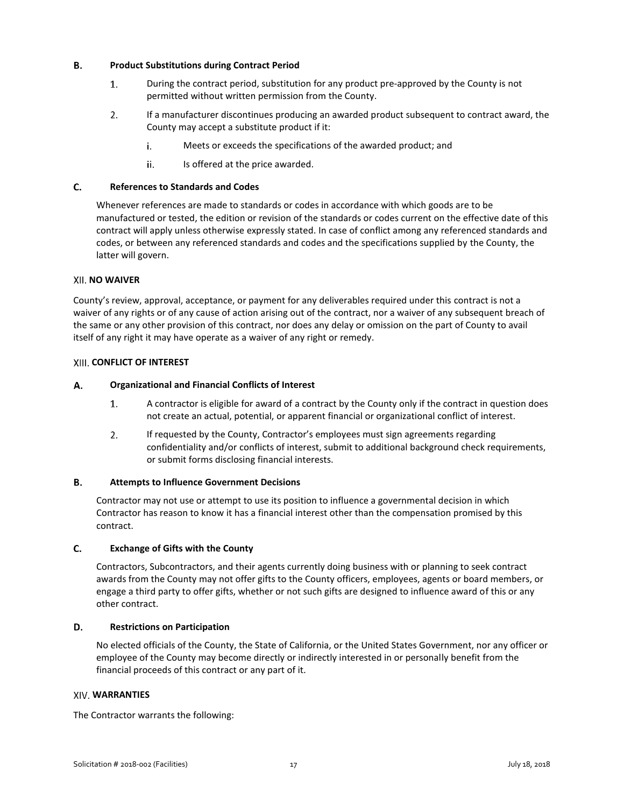#### **B. Product Substitutions during Contract Period**

- $1.$ During the contract period, substitution for any product pre-approved by the County is not permitted without written permission from the County.
- $2.$ If a manufacturer discontinues producing an awarded product subsequent to contract award, the County may accept a substitute product if it:
	- i. Meets or exceeds the specifications of the awarded product; and
	- ii. Is offered at the price awarded.

#### C. **References to Standards and Codes**

Whenever references are made to standards or codes in accordance with which goods are to be manufactured or tested, the edition or revision of the standards or codes current on the effective date of this contract will apply unless otherwise expressly stated. In case of conflict among any referenced standards and codes, or between any referenced standards and codes and the specifications supplied by the County, the latter will govern.

### <span id="page-17-0"></span>**XII. NO WAIVER**

County's review, approval, acceptance, or payment for any deliverables required under this contract is not a waiver of any rights or of any cause of action arising out of the contract, nor a waiver of any subsequent breach of the same or any other provision of this contract, nor does any delay or omission on the part of County to avail itself of any right it may have operate as a waiver of any right or remedy.

### <span id="page-17-1"></span>**CONFLICT OF INTEREST**

#### А. **Organizational and Financial Conflicts of Interest**

- $1.$ A contractor is eligible for award of a contract by the County only if the contract in question does not create an actual, potential, or apparent financial or organizational conflict of interest.
- $2.$ If requested by the County, Contractor's employees must sign agreements regarding confidentiality and/or conflicts of interest, submit to additional background check requirements, or submit forms disclosing financial interests.

#### **B. Attempts to Influence Government Decisions**

Contractor may not use or attempt to use its position to influence a governmental decision in which Contractor has reason to know it has a financial interest other than the compensation promised by this contract.

#### $C.$ **Exchange of Gifts with the County**

Contractors, Subcontractors, and their agents currently doing business with or planning to seek contract awards from the County may not offer gifts to the County officers, employees, agents or board members, or engage a third party to offer gifts, whether or not such gifts are designed to influence award of this or any other contract.

#### D. **Restrictions on Participation**

No elected officials of the County, the State of California, or the United States Government, nor any officer or employee of the County may become directly or indirectly interested in or personally benefit from the financial proceeds of this contract or any part of it.

### <span id="page-17-2"></span>**WARRANTIES**

The Contractor warrants the following: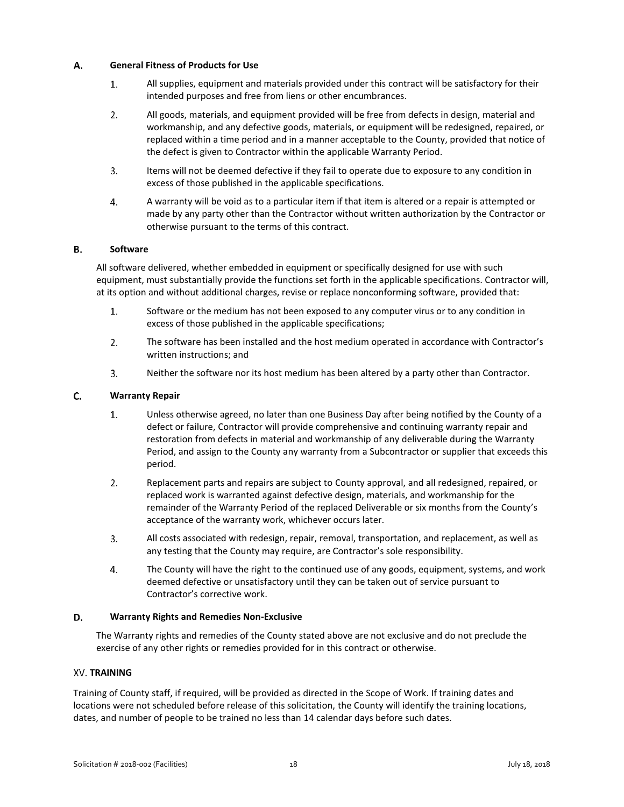#### Α. **General Fitness of Products for Use**

- $1.$ All supplies, equipment and materials provided under this contract will be satisfactory for their intended purposes and free from liens or other encumbrances.
- $2.$ All goods, materials, and equipment provided will be free from defects in design, material and workmanship, and any defective goods, materials, or equipment will be redesigned, repaired, or replaced within a time period and in a manner acceptable to the County, provided that notice of the defect is given to Contractor within the applicable Warranty Period.
- $3.$ Items will not be deemed defective if they fail to operate due to exposure to any condition in excess of those published in the applicable specifications.
- $4.$ A warranty will be void as to a particular item if that item is altered or a repair is attempted or made by any party other than the Contractor without written authorization by the Contractor or otherwise pursuant to the terms of this contract.

#### **B. Software**

All software delivered, whether embedded in equipment or specifically designed for use with such equipment, must substantially provide the functions set forth in the applicable specifications. Contractor will, at its option and without additional charges, revise or replace nonconforming software, provided that:

- $1.$ Software or the medium has not been exposed to any computer virus or to any condition in excess of those published in the applicable specifications;
- $2.$ The software has been installed and the host medium operated in accordance with Contractor's written instructions; and
- $3.$ Neither the software nor its host medium has been altered by a party other than Contractor.

#### $C_{\cdot}$ **Warranty Repair**

- $1.$ Unless otherwise agreed, no later than one Business Day after being notified by the County of a defect or failure, Contractor will provide comprehensive and continuing warranty repair and restoration from defects in material and workmanship of any deliverable during the Warranty Period, and assign to the County any warranty from a Subcontractor or supplier that exceeds this period.
- $2.$ Replacement parts and repairs are subject to County approval, and all redesigned, repaired, or replaced work is warranted against defective design, materials, and workmanship for the remainder of the Warranty Period of the replaced Deliverable or six months from the County's acceptance of the warranty work, whichever occurs later.
- $3<sub>1</sub>$ All costs associated with redesign, repair, removal, transportation, and replacement, as well as any testing that the County may require, are Contractor's sole responsibility.
- 4. The County will have the right to the continued use of any goods, equipment, systems, and work deemed defective or unsatisfactory until they can be taken out of service pursuant to Contractor's corrective work.

#### D. **Warranty Rights and Remedies Non-Exclusive**

The Warranty rights and remedies of the County stated above are not exclusive and do not preclude the exercise of any other rights or remedies provided for in this contract or otherwise.

### <span id="page-18-0"></span>**XV. TRAINING**

Training of County staff, if required, will be provided as directed in the Scope of Work. If training dates and locations were not scheduled before release of this solicitation, the County will identify the training locations, dates, and number of people to be trained no less than 14 calendar days before such dates.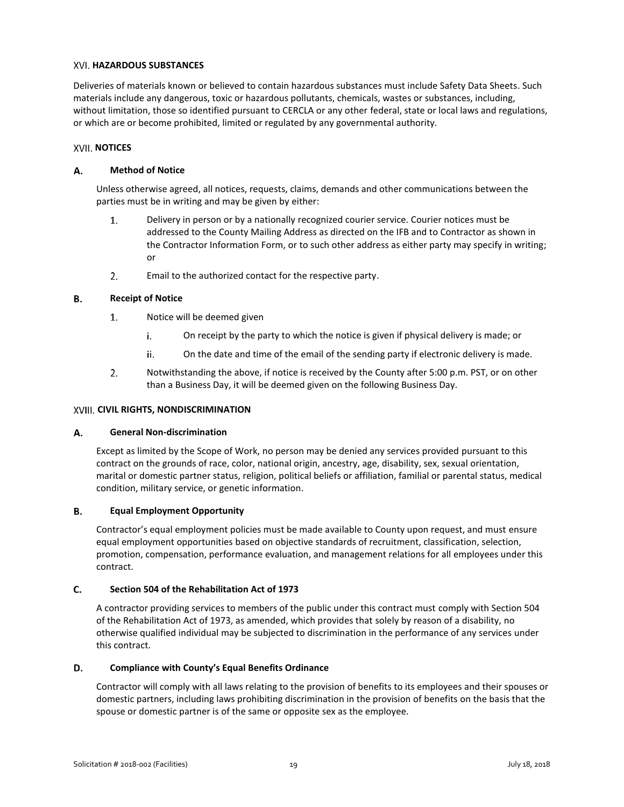### <span id="page-19-0"></span>**HAZARDOUS SUBSTANCES**

Deliveries of materials known or believed to contain hazardous substances must include Safety Data Sheets. Such materials include any dangerous, toxic or hazardous pollutants, chemicals, wastes or substances, including, without limitation, those so identified pursuant to CERCLA or any other federal, state or local laws and regulations, or which are or become prohibited, limited or regulated by any governmental authority.

### <span id="page-19-1"></span>**XVII. NOTICES**

#### А. **Method of Notice**

Unless otherwise agreed, all notices, requests, claims, demands and other communications between the parties must be in writing and may be given by either:

- $1.$ Delivery in person or by a nationally recognized courier service. Courier notices must be addressed to the County Mailing Address as directed on the IFB and to Contractor as shown in the Contractor Information Form, or to such other address as either party may specify in writing; or
- $2.$ Email to the authorized contact for the respective party.

#### В. **Receipt of Notice**

- 1. Notice will be deemed given
	- On receipt by the party to which the notice is given if physical delivery is made; or i.
	- ii. On the date and time of the email of the sending party if electronic delivery is made.
- $2.$ Notwithstanding the above, if notice is received by the County after 5:00 p.m. PST, or on other than a Business Day, it will be deemed given on the following Business Day.

### <span id="page-19-2"></span>**XVIII. CIVIL RIGHTS, NONDISCRIMINATION**

#### Α. **General Non-discrimination**

Except as limited by the Scope of Work, no person may be denied any services provided pursuant to this contract on the grounds of race, color, national origin, ancestry, age, disability, sex, sexual orientation, marital or domestic partner status, religion, political beliefs or affiliation, familial or parental status, medical condition, military service, or genetic information.

#### В. **Equal Employment Opportunity**

Contractor's equal employment policies must be made available to County upon request, and must ensure equal employment opportunities based on objective standards of recruitment, classification, selection, promotion, compensation, performance evaluation, and management relations for all employees under this contract.

#### C. **Section 504 of the Rehabilitation Act of 1973**

A contractor providing services to members of the public under this contract must comply with Section 504 of the Rehabilitation Act of 1973, as amended, which provides that solely by reason of a disability, no otherwise qualified individual may be subjected to discrimination in the performance of any services under this contract.

#### D. **Compliance with County's Equal Benefits Ordinance**

Contractor will comply with all laws relating to the provision of benefits to its employees and their spouses or domestic partners, including laws prohibiting discrimination in the provision of benefits on the basis that the spouse or domestic partner is of the same or opposite sex as the employee.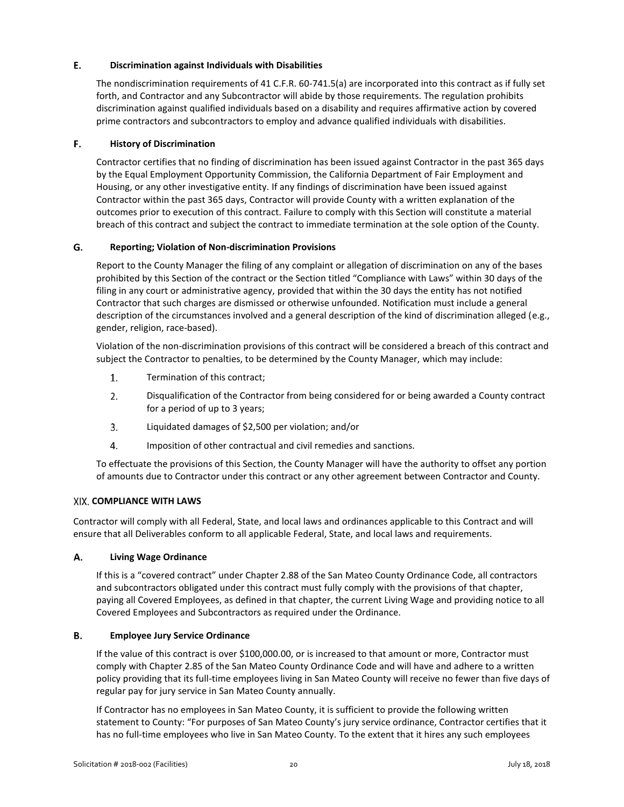#### E. **Discrimination against Individuals with Disabilities**

The nondiscrimination requirements of 41 C.F.R. 60-741.5(a) are incorporated into this contract as if fully set forth, and Contractor and any Subcontractor will abide by those requirements. The regulation prohibits discrimination against qualified individuals based on a disability and requires affirmative action by covered prime contractors and subcontractors to employ and advance qualified individuals with disabilities.

#### F. **History of Discrimination**

Contractor certifies that no finding of discrimination has been issued against Contractor in the past 365 days by the Equal Employment Opportunity Commission, the California Department of Fair Employment and Housing, or any other investigative entity. If any findings of discrimination have been issued against Contractor within the past 365 days, Contractor will provide County with a written explanation of the outcomes prior to execution of this contract. Failure to comply with this Section will constitute a material breach of this contract and subject the contract to immediate termination at the sole option of the County.

#### G. **Reporting; Violation of Non-discrimination Provisions**

Report to the County Manager the filing of any complaint or allegation of discrimination on any of the bases prohibited by this Section of the contract or the Section titled "Compliance with Laws" within 30 days of the filing in any court or administrative agency, provided that within the 30 days the entity has not notified Contractor that such charges are dismissed or otherwise unfounded. Notification must include a general description of the circumstances involved and a general description of the kind of discrimination alleged (e.g., gender, religion, race-based).

Violation of the non-discrimination provisions of this contract will be considered a breach of this contract and subject the Contractor to penalties, to be determined by the County Manager, which may include:

- $1.$ Termination of this contract;
- $2.$ Disqualification of the Contractor from being considered for or being awarded a County contract for a period of up to 3 years;
- $3.$ Liquidated damages of \$2,500 per violation; and/or
- 4. Imposition of other contractual and civil remedies and sanctions.

To effectuate the provisions of this Section, the County Manager will have the authority to offset any portion of amounts due to Contractor under this contract or any other agreement between Contractor and County.

### <span id="page-20-0"></span>**COMPLIANCE WITH LAWS**

Contractor will comply with all Federal, State, and local laws and ordinances applicable to this Contract and will ensure that all Deliverables conform to all applicable Federal, State, and local laws and requirements.

#### А. **Living Wage Ordinance**

If this is a "covered contract" under Chapter 2.88 of the San Mateo County Ordinance Code, all contractors and subcontractors obligated under this contract must fully comply with the provisions of that chapter, paying all Covered Employees, as defined in that chapter, the current Living Wage and providing notice to all Covered Employees and Subcontractors as required under the Ordinance.

#### В. **Employee Jury Service Ordinance**

If the value of this contract is over \$100,000.00, or is increased to that amount or more, Contractor must comply with Chapter 2.85 of the San Mateo County Ordinance Code and will have and adhere to a written policy providing that its full-time employees living in San Mateo County will receive no fewer than five days of regular pay for jury service in San Mateo County annually.

If Contractor has no employees in San Mateo County, it is sufficient to provide the following written statement to County: "For purposes of San Mateo County's jury service ordinance, Contractor certifies that it has no full-time employees who live in San Mateo County. To the extent that it hires any such employees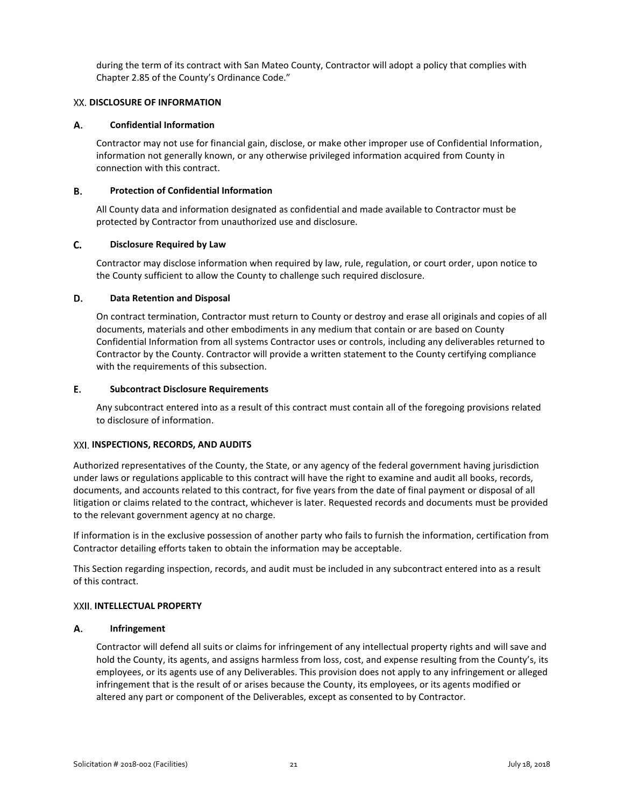during the term of its contract with San Mateo County, Contractor will adopt a policy that complies with Chapter 2.85 of the County's Ordinance Code."

### <span id="page-21-0"></span>**XX. DISCLOSURE OF INFORMATION**

#### А. **Confidential Information**

Contractor may not use for financial gain, disclose, or make other improper use of Confidential Information, information not generally known, or any otherwise privileged information acquired from County in connection with this contract.

#### **B. Protection of Confidential Information**

All County data and information designated as confidential and made available to Contractor must be protected by Contractor from unauthorized use and disclosure.

#### C. **Disclosure Required by Law**

Contractor may disclose information when required by law, rule, regulation, or court order, upon notice to the County sufficient to allow the County to challenge such required disclosure.

#### D. **Data Retention and Disposal**

On contract termination, Contractor must return to County or destroy and erase all originals and copies of all documents, materials and other embodiments in any medium that contain or are based on County Confidential Information from all systems Contractor uses or controls, including any deliverables returned to Contractor by the County. Contractor will provide a written statement to the County certifying compliance with the requirements of this subsection.

#### E. **Subcontract Disclosure Requirements**

Any subcontract entered into as a result of this contract must contain all of the foregoing provisions related to disclosure of information.

### <span id="page-21-1"></span>**INSPECTIONS, RECORDS, AND AUDITS**

Authorized representatives of the County, the State, or any agency of the federal government having jurisdiction under laws or regulations applicable to this contract will have the right to examine and audit all books, records, documents, and accounts related to this contract, for five years from the date of final payment or disposal of all litigation or claims related to the contract, whichever is later. Requested records and documents must be provided to the relevant government agency at no charge.

If information is in the exclusive possession of another party who fails to furnish the information, certification from Contractor detailing efforts taken to obtain the information may be acceptable.

This Section regarding inspection, records, and audit must be included in any subcontract entered into as a result of this contract.

### <span id="page-21-2"></span>**INTELLECTUAL PROPERTY**

#### А. **Infringement**

Contractor will defend all suits or claims for infringement of any intellectual property rights and will save and hold the County, its agents, and assigns harmless from loss, cost, and expense resulting from the County's, its employees, or its agents use of any Deliverables. This provision does not apply to any infringement or alleged infringement that is the result of or arises because the County, its employees, or its agents modified or altered any part or component of the Deliverables, except as consented to by Contractor.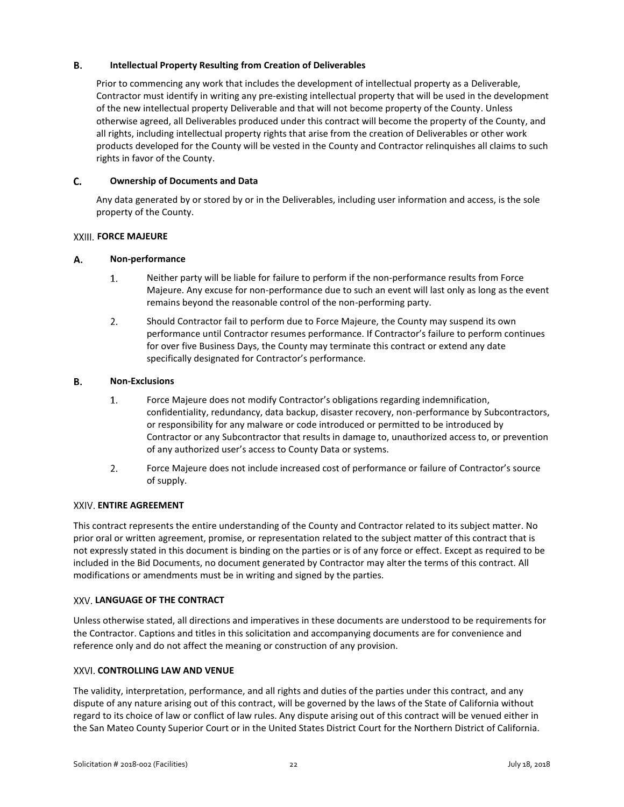#### **B. Intellectual Property Resulting from Creation of Deliverables**

Prior to commencing any work that includes the development of intellectual property as a Deliverable, Contractor must identify in writing any pre-existing intellectual property that will be used in the development of the new intellectual property Deliverable and that will not become property of the County. Unless otherwise agreed, all Deliverables produced under this contract will become the property of the County, and all rights, including intellectual property rights that arise from the creation of Deliverables or other work products developed for the County will be vested in the County and Contractor relinquishes all claims to such rights in favor of the County.

#### C. **Ownership of Documents and Data**

Any data generated by or stored by or in the Deliverables, including user information and access, is the sole property of the County.

### <span id="page-22-0"></span>*KXIII. FORCE MAJEURE*

#### А. **Non-performance**

- $1.$ Neither party will be liable for failure to perform if the non-performance results from Force Majeure. Any excuse for non-performance due to such an event will last only as long as the event remains beyond the reasonable control of the non-performing party.
- $2.$ Should Contractor fail to perform due to Force Majeure, the County may suspend its own performance until Contractor resumes performance. If Contractor's failure to perform continues for over five Business Days, the County may terminate this contract or extend any date specifically designated for Contractor's performance.

#### В. **Non-Exclusions**

- $1.$ Force Majeure does not modify Contractor's obligations regarding indemnification, confidentiality, redundancy, data backup, disaster recovery, non-performance by Subcontractors, or responsibility for any malware or code introduced or permitted to be introduced by Contractor or any Subcontractor that results in damage to, unauthorized access to, or prevention of any authorized user's access to County Data or systems.
- $2.$ Force Majeure does not include increased cost of performance or failure of Contractor's source of supply.

### <span id="page-22-1"></span>**XXIV. ENTIRE AGREEMENT**

This contract represents the entire understanding of the County and Contractor related to its subject matter. No prior oral or written agreement, promise, or representation related to the subject matter of this contract that is not expressly stated in this document is binding on the parties or is of any force or effect. Except as required to be included in the Bid Documents, no document generated by Contractor may alter the terms of this contract. All modifications or amendments must be in writing and signed by the parties.

### <span id="page-22-2"></span>**LANGUAGE OF THE CONTRACT**

Unless otherwise stated, all directions and imperatives in these documents are understood to be requirements for the Contractor. Captions and titles in this solicitation and accompanying documents are for convenience and reference only and do not affect the meaning or construction of any provision.

### <span id="page-22-3"></span>**XXVI. CONTROLLING LAW AND VENUE**

The validity, interpretation, performance, and all rights and duties of the parties under this contract, and any dispute of any nature arising out of this contract, will be governed by the laws of the State of California without regard to its choice of law or conflict of law rules. Any dispute arising out of this contract will be venued either in the San Mateo County Superior Court or in the United States District Court for the Northern District of California.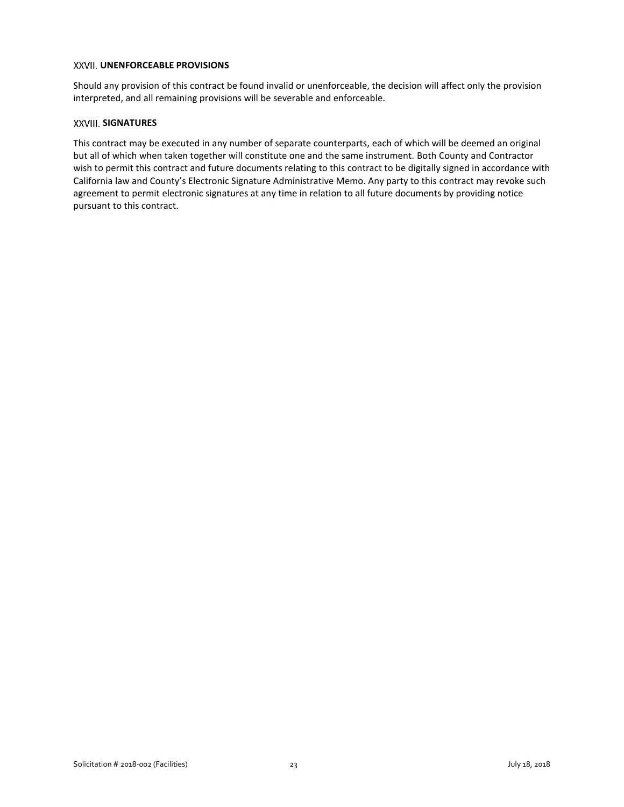### <span id="page-23-0"></span>**XXVII. UNENFORCEABLE PROVISIONS**

Should any provision of this contract be found invalid or unenforceable, the decision will affect only the provision interpreted, and all remaining provisions will be severable and enforceable.

### <span id="page-23-1"></span>**SIGNATURES**

This contract may be executed in any number of separate counterparts, each of which will be deemed an original but all of which when taken together will constitute one and the same instrument. Both County and Contractor wish to permit this contract and future documents relating to this contract to be digitally signed in accordance with California law and County's Electronic Signature Administrative Memo. Any party to this contract may revoke such agreement to permit electronic signatures at any time in relation to all future documents by providing notice pursuant to this contract.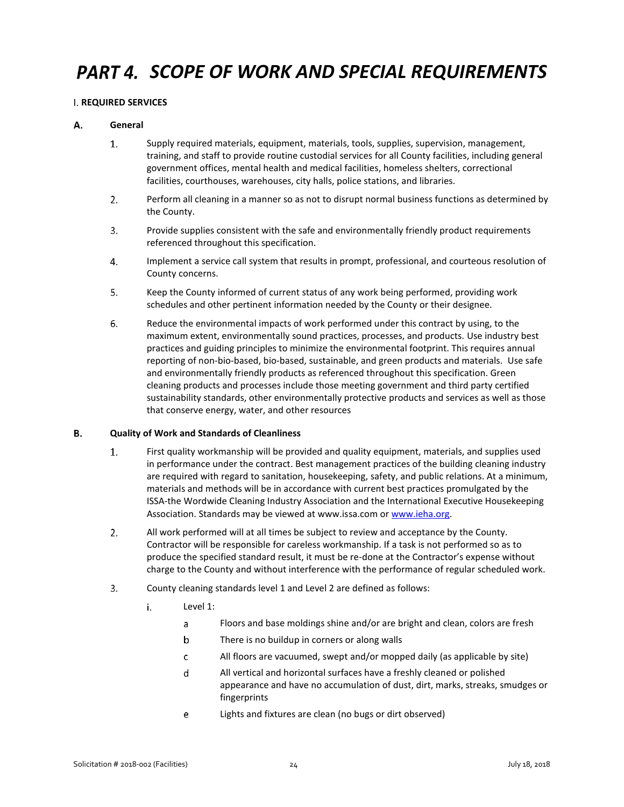# <span id="page-24-0"></span>*SCOPE OF WORK AND SPECIAL REQUIREMENTS*

### <span id="page-24-1"></span>**REQUIRED SERVICES**

#### А. **General**

- $1.$ Supply required materials, equipment, materials, tools, supplies, supervision, management, training, and staff to provide routine custodial services for all County facilities, including general government offices, mental health and medical facilities, homeless shelters, correctional facilities, courthouses, warehouses, city halls, police stations, and libraries.
- $2.$ Perform all cleaning in a manner so as not to disrupt normal business functions as determined by the County.
- $3.$ Provide supplies consistent with the safe and environmentally friendly product requirements referenced throughout this specification.
- 4. Implement a service call system that results in prompt, professional, and courteous resolution of County concerns.
- 5. Keep the County informed of current status of any work being performed, providing work schedules and other pertinent information needed by the County or their designee.
- 6. Reduce the environmental impacts of work performed under this contract by using, to the maximum extent, environmentally sound practices, processes, and products. Use industry best practices and guiding principles to minimize the environmental footprint. This requires annual reporting of non-bio-based, bio-based, sustainable, and green products and materials. Use safe and environmentally friendly products as referenced throughout this specification. Green cleaning products and processes include those meeting government and third party certified sustainability standards, other environmentally protective products and services as well as those that conserve energy, water, and other resources

#### В. **Quality of Work and Standards of Cleanliness**

- $1.$ First quality workmanship will be provided and quality equipment, materials, and supplies used in performance under the contract. Best management practices of the building cleaning industry are required with regard to sanitation, housekeeping, safety, and public relations. At a minimum, materials and methods will be in accordance with current best practices promulgated by the ISSA-the Wordwide Cleaning Industry Association and the International Executive Housekeeping Association. Standards may be viewed at www.issa.com or [www.ieha.org.](http://www.ieha.org/)
- $2.$ All work performed will at all times be subject to review and acceptance by the County. Contractor will be responsible for careless workmanship. If a task is not performed so as to produce the specified standard result, it must be re-done at the Contractor's expense without charge to the County and without interference with the performance of regular scheduled work.
- $3.$ County cleaning standards level 1 and Level 2 are defined as follows:
	- i. Level 1:
		- Floors and base moldings shine and/or are bright and clean, colors are fresh a
		- $\mathsf b$ There is no buildup in corners or along walls
		- All floors are vacuumed, swept and/or mopped daily (as applicable by site)  $\mathsf{C}$
		- All vertical and horizontal surfaces have a freshly cleaned or polished d appearance and have no accumulation of dust, dirt, marks, streaks, smudges or fingerprints
		- e Lights and fixtures are clean (no bugs or dirt observed)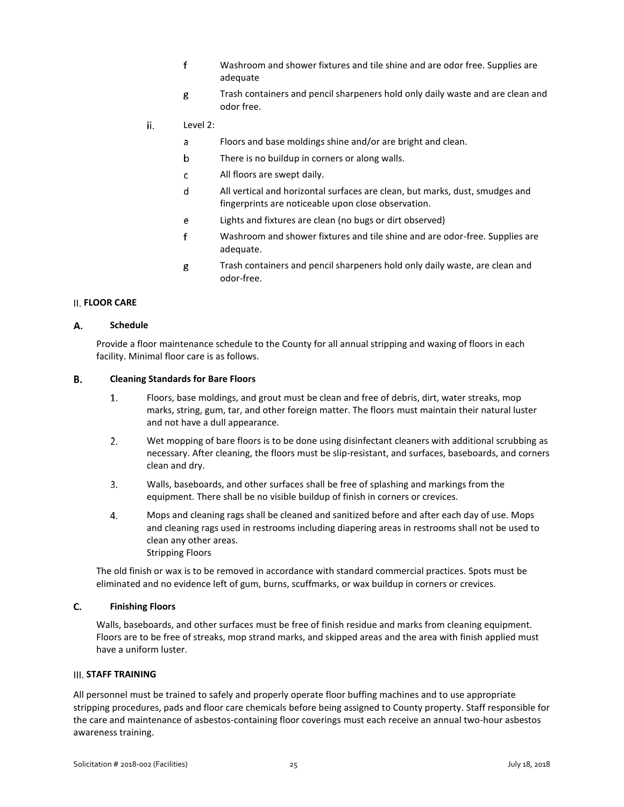- $f$ Washroom and shower fixtures and tile shine and are odor free. Supplies are adequate
- g Trash containers and pencil sharpeners hold only daily waste and are clean and odor free.
- ii. Level 2:
	- Floors and base moldings shine and/or are bright and clean. a
	- $\mathsf b$ There is no buildup in corners or along walls.
	- All floors are swept daily.  $\mathsf{C}$
	- d All vertical and horizontal surfaces are clean, but marks, dust, smudges and fingerprints are noticeable upon close observation.
	- e Lights and fixtures are clean (no bugs or dirt observed)
	- $f$ Washroom and shower fixtures and tile shine and are odor-free. Supplies are adequate.
	- Trash containers and pencil sharpeners hold only daily waste, are clean and g odor-free.

### <span id="page-25-0"></span>**FLOOR CARE**

#### А. **Schedule**

Provide a floor maintenance schedule to the County for all annual stripping and waxing of floors in each facility. Minimal floor care is as follows.

#### В. **Cleaning Standards for Bare Floors**

- $1.$ Floors, base moldings, and grout must be clean and free of debris, dirt, water streaks, mop marks, string, gum, tar, and other foreign matter. The floors must maintain their natural luster and not have a dull appearance.
- $2.$ Wet mopping of bare floors is to be done using disinfectant cleaners with additional scrubbing as necessary. After cleaning, the floors must be slip-resistant, and surfaces, baseboards, and corners clean and dry.
- $\overline{3}$ . Walls, baseboards, and other surfaces shall be free of splashing and markings from the equipment. There shall be no visible buildup of finish in corners or crevices.
- $4.$ Mops and cleaning rags shall be cleaned and sanitized before and after each day of use. Mops and cleaning rags used in restrooms including diapering areas in restrooms shall not be used to clean any other areas. Stripping Floors

The old finish or wax is to be removed in accordance with standard commercial practices. Spots must be eliminated and no evidence left of gum, burns, scuffmarks, or wax buildup in corners or crevices.

#### $C.$ **Finishing Floors**

Walls, baseboards, and other surfaces must be free of finish residue and marks from cleaning equipment. Floors are to be free of streaks, mop strand marks, and skipped areas and the area with finish applied must have a uniform luster.

### <span id="page-25-1"></span>**III. STAFF TRAINING**

All personnel must be trained to safely and properly operate floor buffing machines and to use appropriate stripping procedures, pads and floor care chemicals before being assigned to County property. Staff responsible for the care and maintenance of asbestos-containing floor coverings must each receive an annual two-hour asbestos awareness training.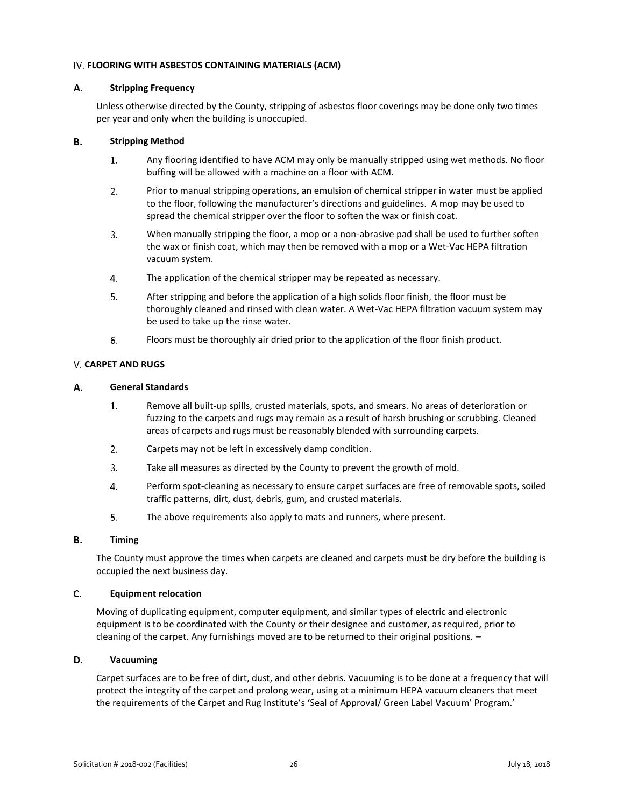### <span id="page-26-0"></span>**FLOORING WITH ASBESTOS CONTAINING MATERIALS (ACM)**

#### А. **Stripping Frequency**

Unless otherwise directed by the County, stripping of asbestos floor coverings may be done only two times per year and only when the building is unoccupied.

#### В. **Stripping Method**

- $1.$ Any flooring identified to have ACM may only be manually stripped using wet methods. No floor buffing will be allowed with a machine on a floor with ACM.
- $2.$ Prior to manual stripping operations, an emulsion of chemical stripper in water must be applied to the floor, following the manufacturer's directions and guidelines. A mop may be used to spread the chemical stripper over the floor to soften the wax or finish coat.
- When manually stripping the floor, a mop or a non-abrasive pad shall be used to further soften  $3.$ the wax or finish coat, which may then be removed with a mop or a Wet-Vac HEPA filtration vacuum system.
- $4.$ The application of the chemical stripper may be repeated as necessary.
- 5. After stripping and before the application of a high solids floor finish, the floor must be thoroughly cleaned and rinsed with clean water. A Wet-Vac HEPA filtration vacuum system may be used to take up the rinse water.
- 6. Floors must be thoroughly air dried prior to the application of the floor finish product.

### <span id="page-26-1"></span>**CARPET AND RUGS**

#### А. **General Standards**

- $1.$ Remove all built-up spills, crusted materials, spots, and smears. No areas of deterioration or fuzzing to the carpets and rugs may remain as a result of harsh brushing or scrubbing. Cleaned areas of carpets and rugs must be reasonably blended with surrounding carpets.
- $2.$ Carpets may not be left in excessively damp condition.
- $\overline{3}$ . Take all measures as directed by the County to prevent the growth of mold.
- $4.$ Perform spot-cleaning as necessary to ensure carpet surfaces are free of removable spots, soiled traffic patterns, dirt, dust, debris, gum, and crusted materials.
- 5. The above requirements also apply to mats and runners, where present.

#### **B. Timing**

The County must approve the times when carpets are cleaned and carpets must be dry before the building is occupied the next business day.

#### C. **Equipment relocation**

Moving of duplicating equipment, computer equipment, and similar types of electric and electronic equipment is to be coordinated with the County or their designee and customer, as required, prior to cleaning of the carpet. Any furnishings moved are to be returned to their original positions. –

#### D. **Vacuuming**

Carpet surfaces are to be free of dirt, dust, and other debris. Vacuuming is to be done at a frequency that will protect the integrity of the carpet and prolong wear, using at a minimum HEPA vacuum cleaners that meet the requirements of the Carpet and Rug Institute's 'Seal of Approval/ Green Label Vacuum' Program.'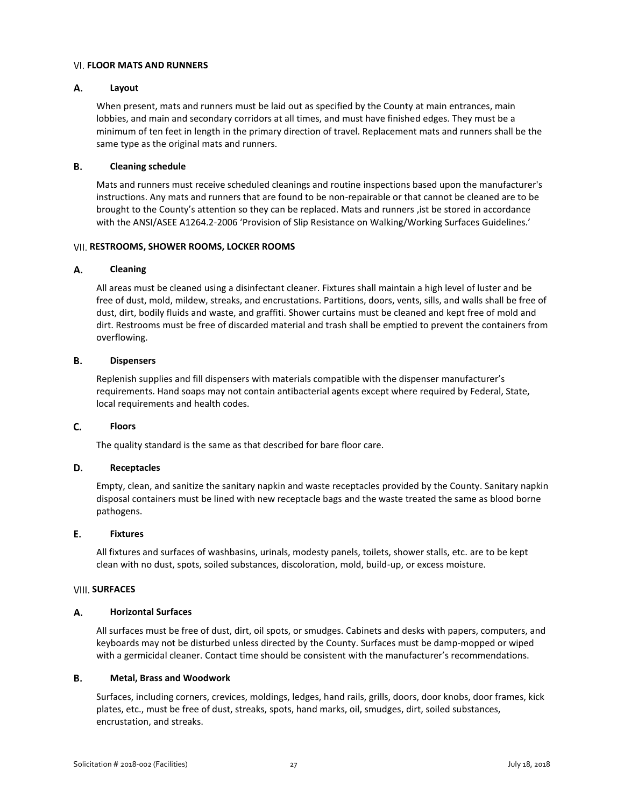### <span id="page-27-0"></span>**FLOOR MATS AND RUNNERS**

#### А. **Layout**

When present, mats and runners must be laid out as specified by the County at main entrances, main lobbies, and main and secondary corridors at all times, and must have finished edges. They must be a minimum of ten feet in length in the primary direction of travel. Replacement mats and runners shall be the same type as the original mats and runners.

#### В. **Cleaning schedule**

Mats and runners must receive scheduled cleanings and routine inspections based upon the manufacturer's instructions. Any mats and runners that are found to be non-repairable or that cannot be cleaned are to be brought to the County's attention so they can be replaced. Mats and runners ,ist be stored in accordance with the ANSI/ASEE A1264.2-2006 'Provision of Slip Resistance on Walking/Working Surfaces Guidelines.'

### <span id="page-27-1"></span>**RESTROOMS, SHOWER ROOMS, LOCKER ROOMS**

#### Α. **Cleaning**

All areas must be cleaned using a disinfectant cleaner. Fixtures shall maintain a high level of luster and be free of dust, mold, mildew, streaks, and encrustations. Partitions, doors, vents, sills, and walls shall be free of dust, dirt, bodily fluids and waste, and graffiti. Shower curtains must be cleaned and kept free of mold and dirt. Restrooms must be free of discarded material and trash shall be emptied to prevent the containers from overflowing.

#### **B. Dispensers**

Replenish supplies and fill dispensers with materials compatible with the dispenser manufacturer's requirements. Hand soaps may not contain antibacterial agents except where required by Federal, State, local requirements and health codes.

#### C. **Floors**

The quality standard is the same as that described for bare floor care.

#### D. **Receptacles**

Empty, clean, and sanitize the sanitary napkin and waste receptacles provided by the County. Sanitary napkin disposal containers must be lined with new receptacle bags and the waste treated the same as blood borne pathogens.

#### E. **Fixtures**

All fixtures and surfaces of washbasins, urinals, modesty panels, toilets, shower stalls, etc. are to be kept clean with no dust, spots, soiled substances, discoloration, mold, build-up, or excess moisture.

### <span id="page-27-2"></span>**VIII. SURFACES**

#### А. **Horizontal Surfaces**

All surfaces must be free of dust, dirt, oil spots, or smudges. Cabinets and desks with papers, computers, and keyboards may not be disturbed unless directed by the County. Surfaces must be damp-mopped or wiped with a germicidal cleaner. Contact time should be consistent with the manufacturer's recommendations.

#### **B. Metal, Brass and Woodwork**

Surfaces, including corners, crevices, moldings, ledges, hand rails, grills, doors, door knobs, door frames, kick plates, etc., must be free of dust, streaks, spots, hand marks, oil, smudges, dirt, soiled substances, encrustation, and streaks.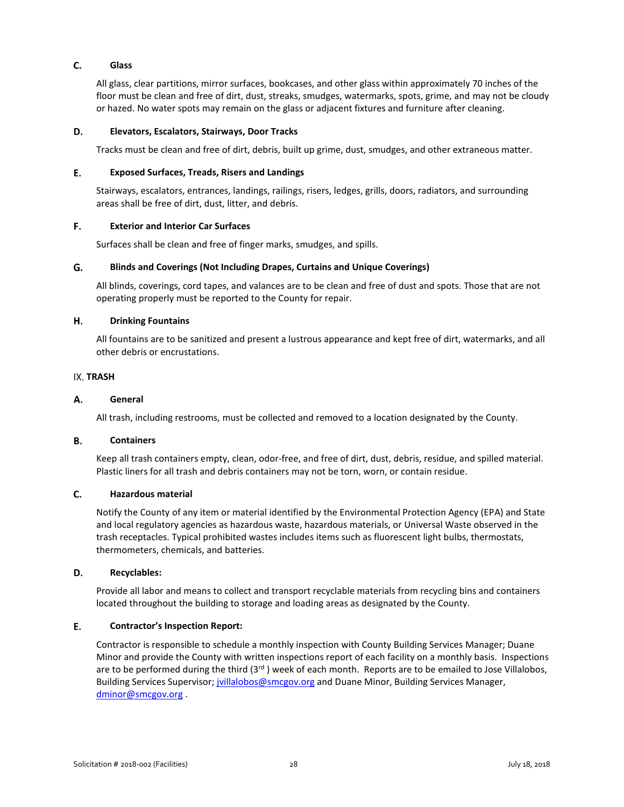#### $C_{1}$ **Glass**

All glass, clear partitions, mirror surfaces, bookcases, and other glass within approximately 70 inches of the floor must be clean and free of dirt, dust, streaks, smudges, watermarks, spots, grime, and may not be cloudy or hazed. No water spots may remain on the glass or adjacent fixtures and furniture after cleaning.

#### D. **Elevators, Escalators, Stairways, Door Tracks**

Tracks must be clean and free of dirt, debris, built up grime, dust, smudges, and other extraneous matter.

#### E. **Exposed Surfaces, Treads, Risers and Landings**

Stairways, escalators, entrances, landings, railings, risers, ledges, grills, doors, radiators, and surrounding areas shall be free of dirt, dust, litter, and debris.

#### F. **Exterior and Interior Car Surfaces**

Surfaces shall be clean and free of finger marks, smudges, and spills.

#### G. **Blinds and Coverings (Not Including Drapes, Curtains and Unique Coverings)**

All blinds, coverings, cord tapes, and valances are to be clean and free of dust and spots. Those that are not operating properly must be reported to the County for repair.

#### Н. **Drinking Fountains**

All fountains are to be sanitized and present a lustrous appearance and kept free of dirt, watermarks, and all other debris or encrustations.

### <span id="page-28-0"></span>**IX. TRASH**

#### А. **General**

All trash, including restrooms, must be collected and removed to a location designated by the County.

#### **B. Containers**

Keep all trash containers empty, clean, odor-free, and free of dirt, dust, debris, residue, and spilled material. Plastic liners for all trash and debris containers may not be torn, worn, or contain residue.

#### C. **Hazardous material**

Notify the County of any item or material identified by the Environmental Protection Agency (EPA) and State and local regulatory agencies as hazardous waste, hazardous materials, or Universal Waste observed in the trash receptacles. Typical prohibited wastes includes items such as fluorescent light bulbs, thermostats, thermometers, chemicals, and batteries.

#### D. **Recyclables:**

Provide all labor and means to collect and transport recyclable materials from recycling bins and containers located throughout the building to storage and loading areas as designated by the County.

#### E. **Contractor's Inspection Report:**

Contractor is responsible to schedule a monthly inspection with County Building Services Manager; Duane Minor and provide the County with written inspections report of each facility on a monthly basis. Inspections are to be performed during the third  $(3<sup>rd</sup>)$  week of each month. Reports are to be emailed to Jose Villalobos, Building Services Supervisor; [jvillalobos@smcgov.org](mailto:jvillalobos@smcgov.org) and Duane Minor, Building Services Manager, [dminor@smcgov.org](mailto:dminor@smcgov.org) .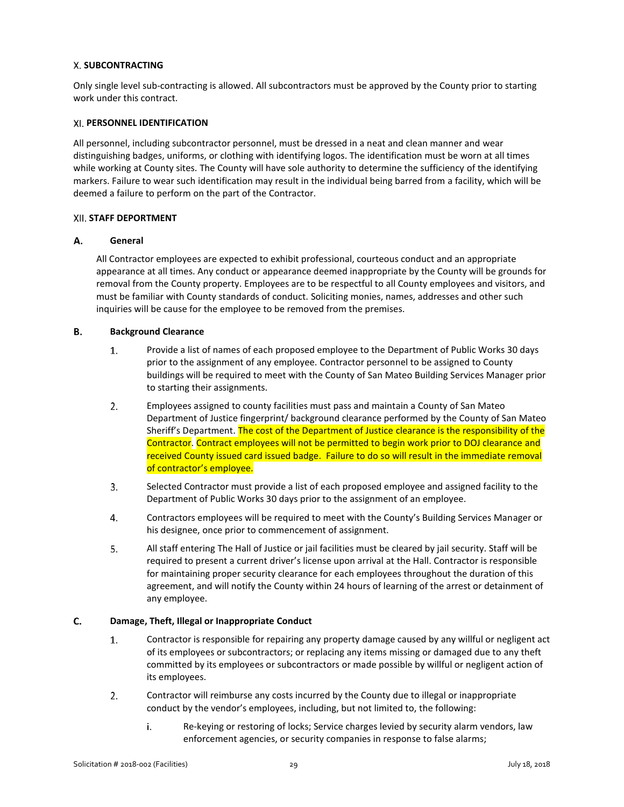### <span id="page-29-0"></span>**SUBCONTRACTING**

Only single level sub-contracting is allowed. All subcontractors must be approved by the County prior to starting work under this contract.

### <span id="page-29-1"></span>**PERSONNEL IDENTIFICATION**

All personnel, including subcontractor personnel, must be dressed in a neat and clean manner and wear distinguishing badges, uniforms, or clothing with identifying logos. The identification must be worn at all times while working at County sites. The County will have sole authority to determine the sufficiency of the identifying markers. Failure to wear such identification may result in the individual being barred from a facility, which will be deemed a failure to perform on the part of the Contractor.

### <span id="page-29-2"></span>**STAFF DEPORTMENT**

#### А. **General**

All Contractor employees are expected to exhibit professional, courteous conduct and an appropriate appearance at all times. Any conduct or appearance deemed inappropriate by the County will be grounds for removal from the County property. Employees are to be respectful to all County employees and visitors, and must be familiar with County standards of conduct. Soliciting monies, names, addresses and other such inquiries will be cause for the employee to be removed from the premises.

#### В. **Background Clearance**

- $1.$ Provide a list of names of each proposed employee to the Department of Public Works 30 days prior to the assignment of any employee. Contractor personnel to be assigned to County buildings will be required to meet with the County of San Mateo Building Services Manager prior to starting their assignments.
- $2.$ Employees assigned to county facilities must pass and maintain a County of San Mateo Department of Justice fingerprint/ background clearance performed by the County of San Mateo Sheriff's Department. The cost of the Department of Justice clearance is the responsibility of the Contractor. Contract employees will not be permitted to begin work prior to DOJ clearance and received County issued card issued badge. Failure to do so will result in the immediate removal of contractor's employee.
- 3. Selected Contractor must provide a list of each proposed employee and assigned facility to the Department of Public Works 30 days prior to the assignment of an employee.
- $4.$ Contractors employees will be required to meet with the County's Building Services Manager or his designee, once prior to commencement of assignment.
- 5. All staff entering The Hall of Justice or jail facilities must be cleared by jail security. Staff will be required to present a current driver's license upon arrival at the Hall. Contractor is responsible for maintaining proper security clearance for each employees throughout the duration of this agreement, and will notify the County within 24 hours of learning of the arrest or detainment of any employee.

#### C. **Damage, Theft, Illegal or Inappropriate Conduct**

- $1.$ Contractor is responsible for repairing any property damage caused by any willful or negligent act of its employees or subcontractors; or replacing any items missing or damaged due to any theft committed by its employees or subcontractors or made possible by willful or negligent action of its employees.
- $2.$ Contractor will reimburse any costs incurred by the County due to illegal or inappropriate conduct by the vendor's employees, including, but not limited to, the following:
	- Re-keying or restoring of locks; Service charges levied by security alarm vendors, law i. enforcement agencies, or security companies in response to false alarms;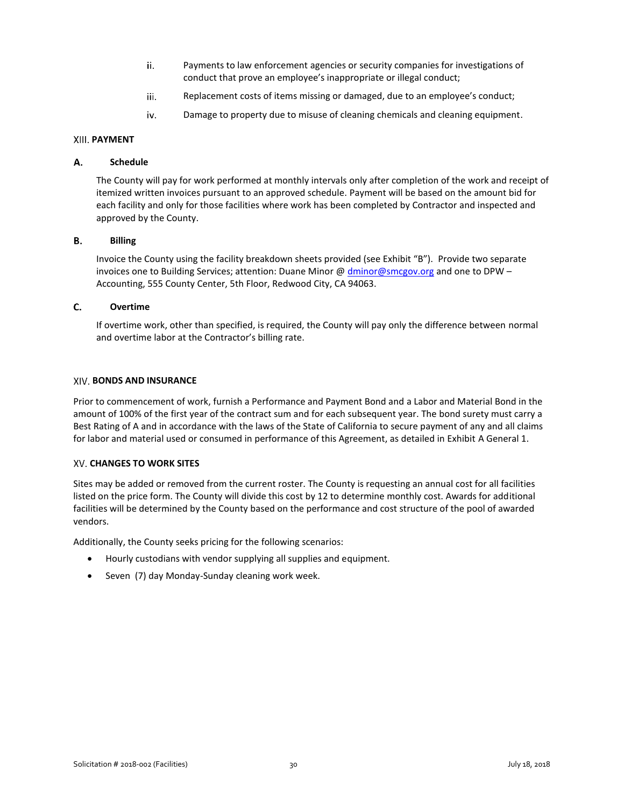- ii. Payments to law enforcement agencies or security companies for investigations of conduct that prove an employee's inappropriate or illegal conduct;
- iii. Replacement costs of items missing or damaged, due to an employee's conduct;
- Damage to property due to misuse of cleaning chemicals and cleaning equipment. iv.

### <span id="page-30-0"></span>**PAYMENT**

#### **Schedule** А.

The County will pay for work performed at monthly intervals only after completion of the work and receipt of itemized written invoices pursuant to an approved schedule. Payment will be based on the amount bid for each facility and only for those facilities where work has been completed by Contractor and inspected and approved by the County.

#### В. **Billing**

Invoice the County using the facility breakdown sheets provided (see Exhibit "B"). Provide two separate invoices one to Building Services; attention: Duane Minor @ [dminor@smcgov.org](mailto:dminor@smcgov.org) and one to DPW – Accounting, 555 County Center, 5th Floor, Redwood City, CA 94063.

#### C. **Overtime**

If overtime work, other than specified, is required, the County will pay only the difference between normal and overtime labor at the Contractor's billing rate.

### <span id="page-30-1"></span>**BONDS AND INSURANCE**

Prior to commencement of work, furnish a Performance and Payment Bond and a Labor and Material Bond in the amount of 100% of the first year of the contract sum and for each subsequent year. The bond surety must carry a Best Rating of A and in accordance with the laws of the State of California to secure payment of any and all claims for labor and material used or consumed in performance of this Agreement, as detailed in Exhibit A General 1.

### <span id="page-30-2"></span>**CHANGES TO WORK SITES**

Sites may be added or removed from the current roster. The County is requesting an annual cost for all facilities listed on the price form. The County will divide this cost by 12 to determine monthly cost. Awards for additional facilities will be determined by the County based on the performance and cost structure of the pool of awarded vendors.

Additionally, the County seeks pricing for the following scenarios:

- Hourly custodians with vendor supplying all supplies and equipment.
- Seven (7) day Monday-Sunday cleaning work week.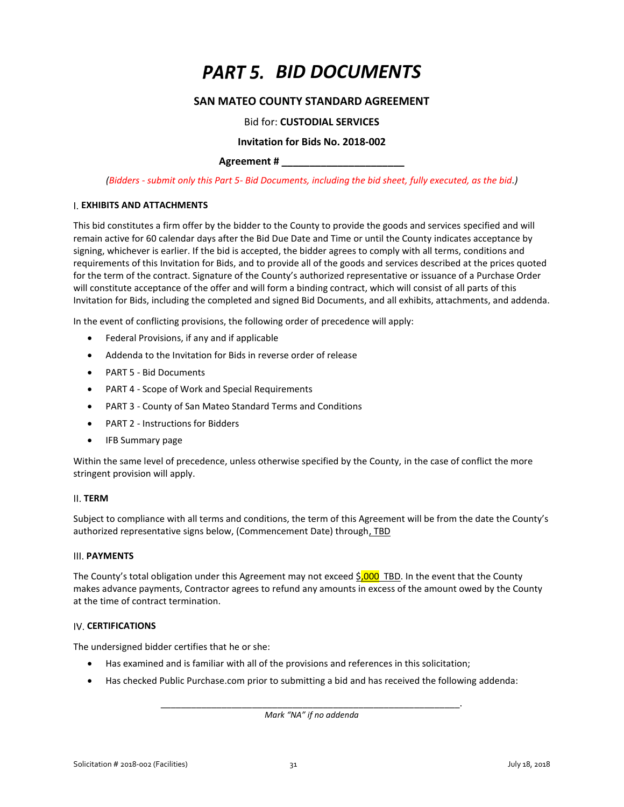# *BID DOCUMENTS*

### **SAN MATEO COUNTY STANDARD AGREEMENT**

### Bid for: **CUSTODIAL SERVICES**

### **Invitation for Bids No. 2018-002**

### **Agreement # \_\_\_\_\_\_\_\_\_\_\_\_\_\_\_\_\_\_\_\_\_\_**

<span id="page-31-1"></span><span id="page-31-0"></span>*(Bidders - submit only this Part 5- Bid Documents, including the bid sheet, fully executed, as the bid.)* 

### <span id="page-31-2"></span>**EXHIBITS AND ATTACHMENTS**

This bid constitutes a firm offer by the bidder to the County to provide the goods and services specified and will remain active for 60 calendar days after the Bid Due Date and Time or until the County indicates acceptance by signing, whichever is earlier. If the bid is accepted, the bidder agrees to comply with all terms, conditions and requirements of this Invitation for Bids, and to provide all of the goods and services described at the prices quoted for the term of the contract. Signature of the County's authorized representative or issuance of a Purchase Order will constitute acceptance of the offer and will form a binding contract, which will consist of all parts of this Invitation for Bids, including the completed and signed Bid Documents, and all exhibits, attachments, and addenda.

In the event of conflicting provisions, the following order of precedence will apply:

- Federal Provisions, if any and if applicable
- Addenda to the Invitation for Bids in reverse order of release
- PART 5 Bid Documents
- PART 4 Scope of Work and Special Requirements
- PART 3 County of San Mateo Standard Terms and Conditions
- PART 2 Instructions for Bidders
- IFB Summary page

Within the same level of precedence, unless otherwise specified by the County, in the case of conflict the more stringent provision will apply.

### <span id="page-31-3"></span>**TERM**

Subject to compliance with all terms and conditions, the term of this Agreement will be from the date the County's authorized representative signs below, (Commencement Date) through, TBD

### <span id="page-31-4"></span>**III. PAYMENTS**

The County's total obligation under this Agreement may not exceed  $$000$  TBD. In the event that the County makes advance payments, Contractor agrees to refund any amounts in excess of the amount owed by the County at the time of contract termination.

### <span id="page-31-5"></span>**IV. CERTIFICATIONS**

The undersigned bidder certifies that he or she:

- Has examined and is familiar with all of the provisions and references in this solicitation;
- Has checked Public Purchase.com prior to submitting a bid and has received the following addenda:

\_\_\_\_\_\_\_\_\_\_\_\_\_\_\_\_\_\_\_\_\_\_\_\_\_\_\_\_\_\_\_\_\_\_\_\_\_\_\_\_\_\_\_\_\_\_\_\_\_\_\_\_\_\_\_\_\_\_\_. *Mark "NA" if no addenda*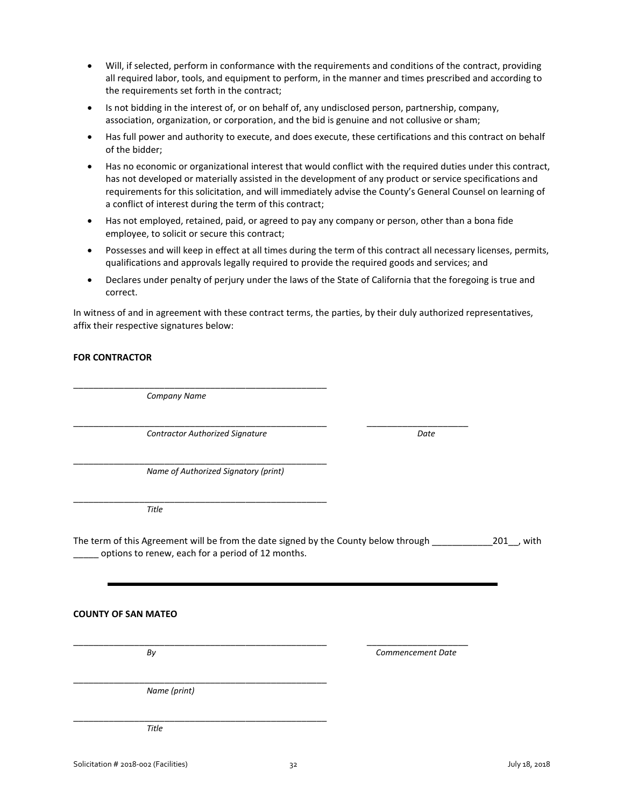- Will, if selected, perform in conformance with the requirements and conditions of the contract, providing all required labor, tools, and equipment to perform, in the manner and times prescribed and according to the requirements set forth in the contract;
- Is not bidding in the interest of, or on behalf of, any undisclosed person, partnership, company, association, organization, or corporation, and the bid is genuine and not collusive or sham;
- Has full power and authority to execute, and does execute, these certifications and this contract on behalf of the bidder;
- Has no economic or organizational interest that would conflict with the required duties under this contract, has not developed or materially assisted in the development of any product or service specifications and requirements for this solicitation, and will immediately advise the County's General Counsel on learning of a conflict of interest during the term of this contract;
- Has not employed, retained, paid, or agreed to pay any company or person, other than a bona fide employee, to solicit or secure this contract;
- Possesses and will keep in effect at all times during the term of this contract all necessary licenses, permits, qualifications and approvals legally required to provide the required goods and services; and
- Declares under penalty of perjury under the laws of the State of California that the foregoing is true and correct.

In witness of and in agreement with these contract terms, the parties, by their duly authorized representatives, affix their respective signatures below:

### **FOR CONTRACTOR**

\_\_\_\_\_\_\_\_\_\_\_\_\_\_\_\_\_\_\_\_\_\_\_\_\_\_\_\_\_\_\_\_\_\_\_\_\_\_\_\_\_\_\_\_\_\_\_\_\_\_ *Company Name*

\_\_\_\_\_\_\_\_\_\_\_\_\_\_\_\_\_\_\_\_\_\_\_\_\_\_\_\_\_\_\_\_\_\_\_\_\_\_\_\_\_\_\_\_\_\_\_\_\_\_ \_\_\_\_\_\_\_\_\_\_\_\_\_\_\_\_\_\_\_\_ *Contractor Authorized Signature Date*

\_\_\_\_\_\_\_\_\_\_\_\_\_\_\_\_\_\_\_\_\_\_\_\_\_\_\_\_\_\_\_\_\_\_\_\_\_\_\_\_\_\_\_\_\_\_\_\_\_\_ *Name of Authorized Signatory (print)*

\_\_\_\_\_\_\_\_\_\_\_\_\_\_\_\_\_\_\_\_\_\_\_\_\_\_\_\_\_\_\_\_\_\_\_\_\_\_\_\_\_\_\_\_\_\_\_\_\_\_ *Title*

The term of this Agreement will be from the date signed by the County below through \_\_\_\_\_\_\_\_\_\_\_\_\_\_201\_, with options to renew, each for a period of 12 months.

### **COUNTY OF SAN MATEO**

\_\_\_\_\_\_\_\_\_\_\_\_\_\_\_\_\_\_\_\_\_\_\_\_\_\_\_\_\_\_\_\_\_\_\_\_\_\_\_\_\_\_\_\_\_\_\_\_\_\_ \_\_\_\_\_\_\_\_\_\_\_\_\_\_\_\_\_\_\_\_

*By Commencement Date*

\_\_\_\_\_\_\_\_\_\_\_\_\_\_\_\_\_\_\_\_\_\_\_\_\_\_\_\_\_\_\_\_\_\_\_\_\_\_\_\_\_\_\_\_\_\_\_\_\_\_ *Name (print)*

\_\_\_\_\_\_\_\_\_\_\_\_\_\_\_\_\_\_\_\_\_\_\_\_\_\_\_\_\_\_\_\_\_\_\_\_\_\_\_\_\_\_\_\_\_\_\_\_\_\_ *Title*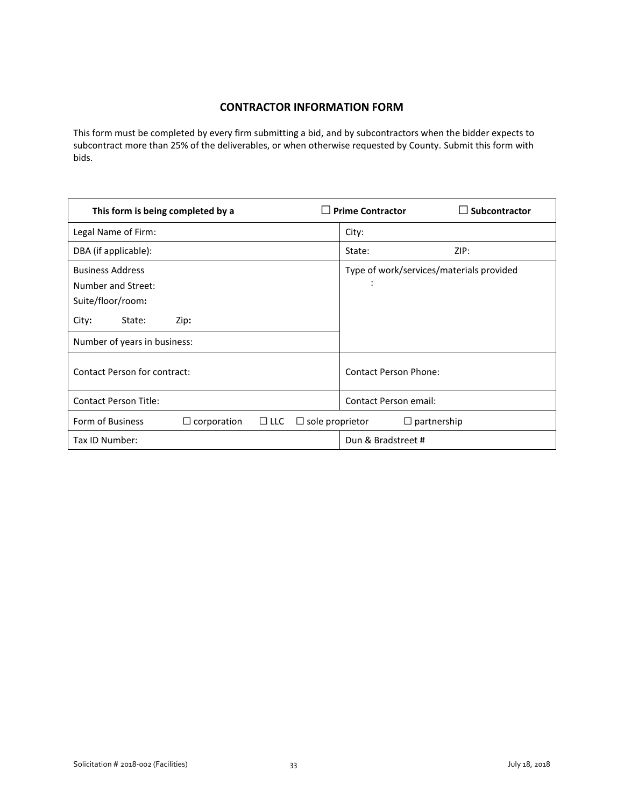## **CONTRACTOR INFORMATION FORM**

<span id="page-33-0"></span>This form must be completed by every firm submitting a bid, and by subcontractors when the bidder expects to subcontract more than 25% of the deliverables, or when otherwise requested by County. Submit this form with bids.

| This form is being completed by a                                                                                             | <b>Prime Contractor</b><br>Subcontractor      |
|-------------------------------------------------------------------------------------------------------------------------------|-----------------------------------------------|
| Legal Name of Firm:                                                                                                           | City:                                         |
| DBA (if applicable):                                                                                                          | ZIP:<br>State:                                |
| <b>Business Address</b><br>Number and Street:<br>Suite/floor/room:<br>City:<br>State:<br>Zip:<br>Number of years in business: | Type of work/services/materials provided<br>÷ |
| Contact Person for contract:                                                                                                  | <b>Contact Person Phone:</b>                  |
| <b>Contact Person Title:</b>                                                                                                  | <b>Contact Person email:</b>                  |
| Form of Business<br>$\Box$ corporation<br>$\Box$ LLC                                                                          | $\Box$ sole proprietor<br>$\Box$ partnership  |
| Tax ID Number:                                                                                                                | Dun & Bradstreet #                            |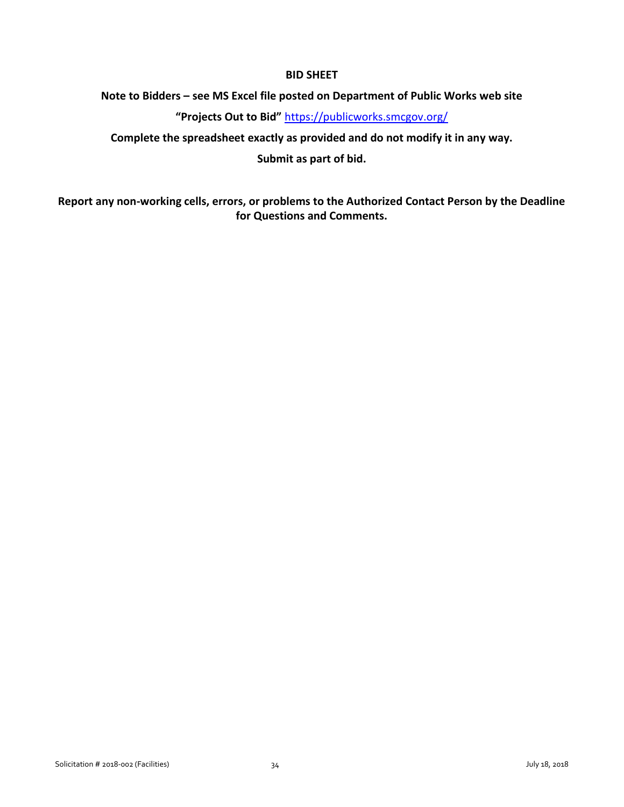## **BID SHEET**

## <span id="page-34-0"></span>**Note to Bidders – see MS Excel file posted on Department of Public Works web site**

**"Projects Out to Bid"** <https://publicworks.smcgov.org/>

**Complete the spreadsheet exactly as provided and do not modify it in any way.** 

**Submit as part of bid.**

**Report any non-working cells, errors, or problems to the Authorized Contact Person by the Deadline for Questions and Comments.**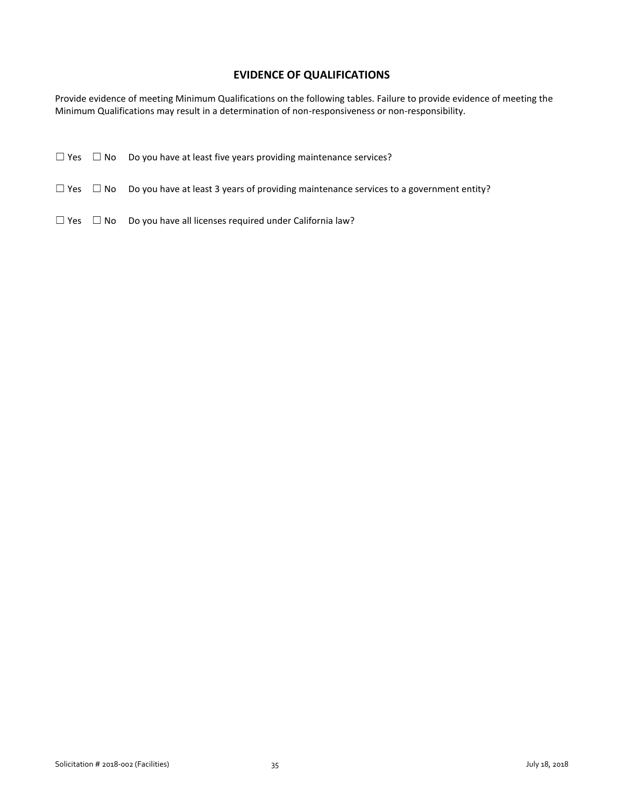## **EVIDENCE OF QUALIFICATIONS**

<span id="page-35-0"></span>Provide evidence of meeting Minimum Qualifications on the following tables. Failure to provide evidence of meeting the Minimum Qualifications may result in a determination of non-responsiveness or non-responsibility.

|                      | $\Box$ Yes $\Box$ No Do you have at least five years providing maintenance services?                        |
|----------------------|-------------------------------------------------------------------------------------------------------------|
|                      | $\Box$ Yes $\Box$ No Do you have at least 3 years of providing maintenance services to a government entity? |
| $\Box$ Yes $\Box$ No | Do you have all licenses required under California law?                                                     |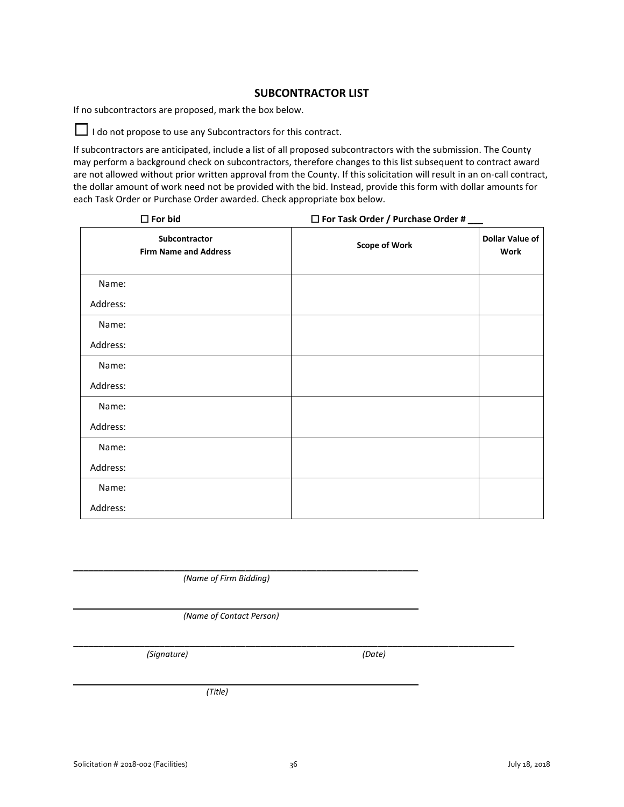### **SUBCONTRACTOR LIST**

<span id="page-36-0"></span>If no subcontractors are proposed, mark the box below.

□ I do not propose to use any Subcontractors for this contract.

If subcontractors are anticipated, include a list of all proposed subcontractors with the submission. The County may perform a background check on subcontractors, therefore changes to this list subsequent to contract award are not allowed without prior written approval from the County. If this solicitation will result in an on-call contract, the dollar amount of work need not be provided with the bid. Instead, provide this form with dollar amounts for each Task Order or Purchase Order awarded. Check appropriate box below.

|          | $\square$ For bid                             | $\Box$ For Task Order / Purchase Order # $\Box$ |                                       |
|----------|-----------------------------------------------|-------------------------------------------------|---------------------------------------|
|          | Subcontractor<br><b>Firm Name and Address</b> | <b>Scope of Work</b>                            | <b>Dollar Value of</b><br><b>Work</b> |
| Name:    |                                               |                                                 |                                       |
| Address: |                                               |                                                 |                                       |
| Name:    |                                               |                                                 |                                       |
| Address: |                                               |                                                 |                                       |
| Name:    |                                               |                                                 |                                       |
| Address: |                                               |                                                 |                                       |
| Name:    |                                               |                                                 |                                       |
| Address: |                                               |                                                 |                                       |
| Name:    |                                               |                                                 |                                       |
| Address: |                                               |                                                 |                                       |
| Name:    |                                               |                                                 |                                       |
| Address: |                                               |                                                 |                                       |

*(Name of Firm Bidding)*

 $\frac{1}{2}$  ,  $\frac{1}{2}$  ,  $\frac{1}{2}$  ,  $\frac{1}{2}$  ,  $\frac{1}{2}$  ,  $\frac{1}{2}$  ,  $\frac{1}{2}$  ,  $\frac{1}{2}$  ,  $\frac{1}{2}$  ,  $\frac{1}{2}$  ,  $\frac{1}{2}$  ,  $\frac{1}{2}$  ,  $\frac{1}{2}$  ,  $\frac{1}{2}$  ,  $\frac{1}{2}$  ,  $\frac{1}{2}$  ,  $\frac{1}{2}$  ,  $\frac{1}{2}$  ,  $\frac{1$ 

\_\_\_\_\_\_\_\_\_\_\_\_\_\_\_\_\_\_\_\_\_\_\_\_\_\_\_\_\_\_\_\_\_\_\_\_\_\_\_\_\_\_\_\_\_\_\_\_\_\_\_\_\_\_\_\_\_\_\_\_\_\_\_\_\_\_\_\_

 $\frac{1}{2}$  ,  $\frac{1}{2}$  ,  $\frac{1}{2}$  ,  $\frac{1}{2}$  ,  $\frac{1}{2}$  ,  $\frac{1}{2}$  ,  $\frac{1}{2}$  ,  $\frac{1}{2}$  ,  $\frac{1}{2}$  ,  $\frac{1}{2}$  ,  $\frac{1}{2}$  ,  $\frac{1}{2}$  ,  $\frac{1}{2}$  ,  $\frac{1}{2}$  ,  $\frac{1}{2}$  ,  $\frac{1}{2}$  ,  $\frac{1}{2}$  ,  $\frac{1}{2}$  ,  $\frac{1$ *(Name of Contact Person)*

*(Signature) (Date)*

*(Title)*

\_\_\_\_\_\_\_\_\_\_\_\_\_\_\_\_\_\_\_\_\_\_\_\_\_\_\_\_\_\_\_\_\_\_\_\_\_\_\_\_\_\_\_\_\_\_\_\_\_\_\_\_\_\_\_\_\_\_\_\_\_\_\_\_\_\_\_\_\_\_\_\_\_\_\_\_\_\_\_\_\_\_\_\_\_\_\_